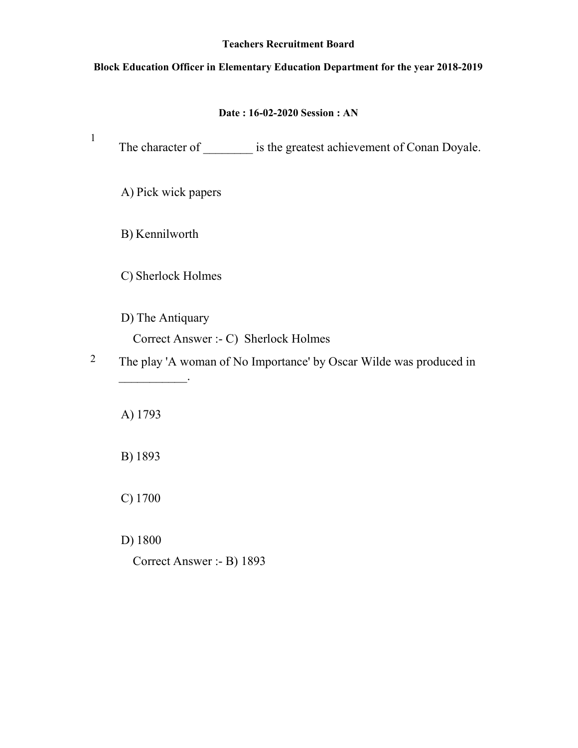#### Teachers Recruitment Board

## Block Education Officer in Elementary Education Department for the year 2018-2019

## Date : 16-02-2020 Session : AN

1 The character of \_\_\_\_\_\_\_\_\_\_ is the greatest achievement of Conan Doyale. A) Pick wick papers B) Kennilworth C) Sherlock Holmes D) The Antiquary Correct Answer :- C) Sherlock Holmes 2 The play 'A woman of No Importance' by Oscar Wilde was produced in  $\frac{1}{2}$ A) 1793 B) 1893 C) 1700

D) 1800

Correct Answer :- B) 1893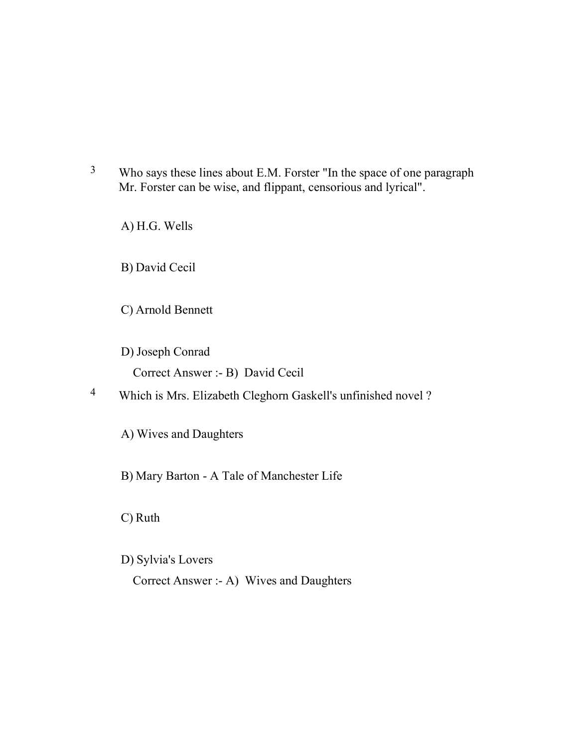<sup>3</sup> Who says these lines about E.M. Forster "In the space of one paragraph Mr. Forster can be wise, and flippant, censorious and lyrical".

A) H.G. Wells

B) David Cecil

- C) Arnold Bennett
- D) Joseph Conrad Correct Answer :- B) David Cecil
- 4 Which is Mrs. Elizabeth Cleghorn Gaskell's unfinished novel ?

A) Wives and Daughters

B) Mary Barton - A Tale of Manchester Life

C) Ruth

D) Sylvia's Lovers

Correct Answer :- A) Wives and Daughters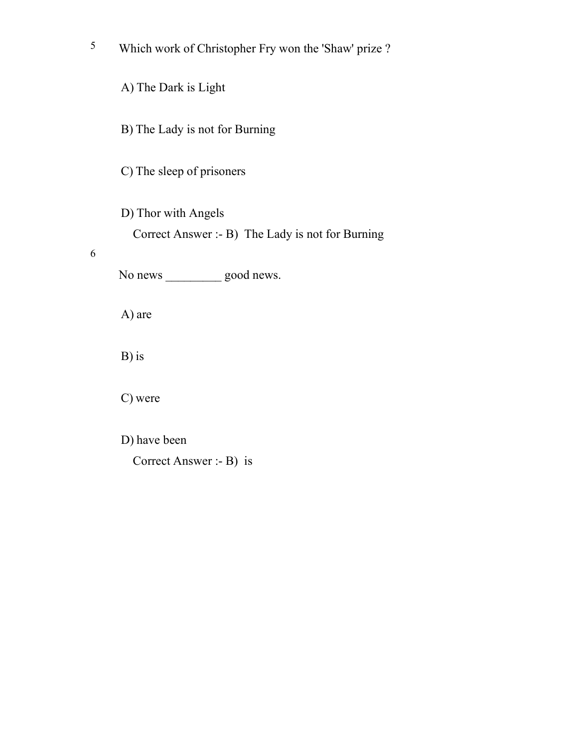5 Which work of Christopher Fry won the 'Shaw' prize ?

A) The Dark is Light

B) The Lady is not for Burning

C) The sleep of prisoners

D) Thor with Angels

Correct Answer :- B) The Lady is not for Burning

6

No news good news.

A) are

B) is

C) were

D) have been

Correct Answer :- B) is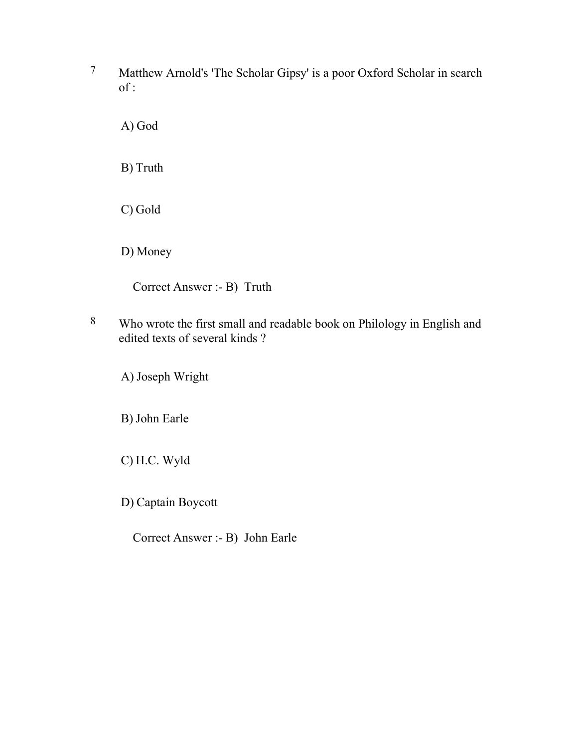7 Matthew Arnold's 'The Scholar Gipsy' is a poor Oxford Scholar in search of :

A) God

B) Truth

C) Gold

D) Money

Correct Answer :- B) Truth

8 Who wrote the first small and readable book on Philology in English and edited texts of several kinds ?

A) Joseph Wright

B) John Earle

C) H.C. Wyld

D) Captain Boycott

Correct Answer :- B) John Earle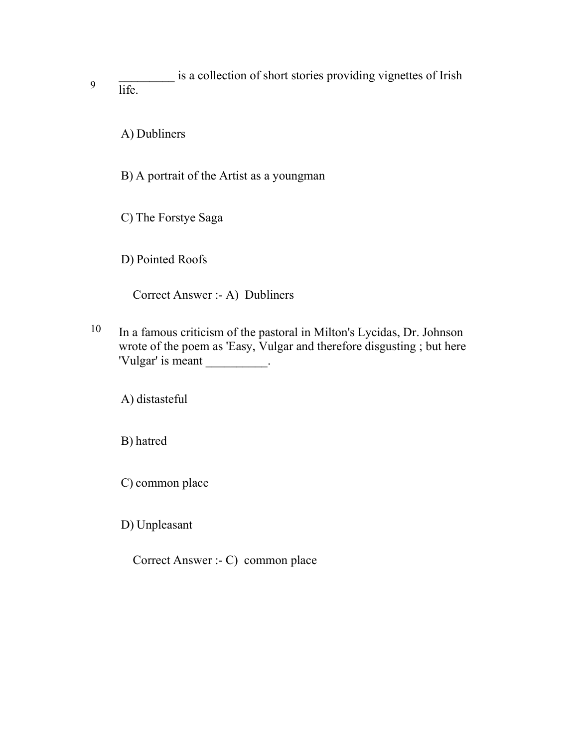9 \_\_\_\_\_\_\_\_\_ is a collection of short stories providing vignettes of Irish life.

A) Dubliners

B) A portrait of the Artist as a youngman

C) The Forstye Saga

D) Pointed Roofs

Correct Answer :- A) Dubliners

10 In a famous criticism of the pastoral in Milton's Lycidas, Dr. Johnson wrote of the poem as 'Easy, Vulgar and therefore disgusting ; but here 'Vulgar' is meant \_\_\_\_\_\_\_\_\_\_.

A) distasteful

B) hatred

C) common place

D) Unpleasant

Correct Answer :- C) common place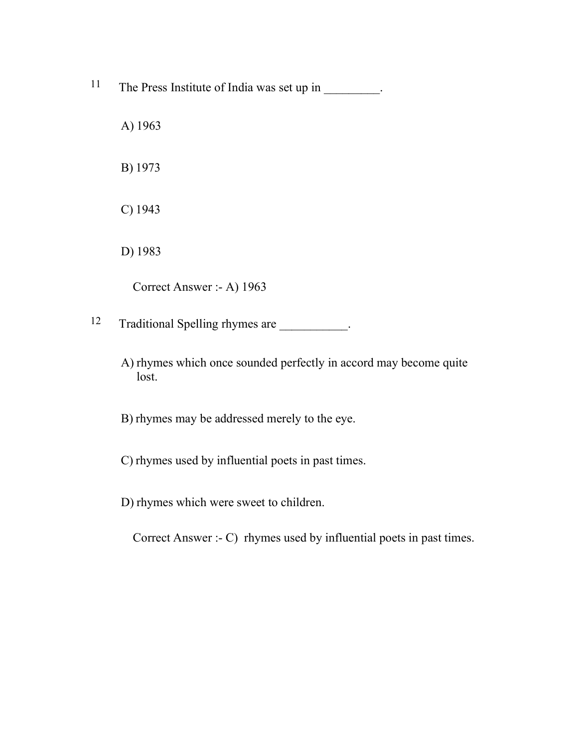- <sup>11</sup> The Press Institute of India was set up in \_\_\_\_\_\_\_\_.
	- A) 1963
	- B) 1973
	- C) 1943
	- D) 1983

Correct Answer :- A) 1963

12 Traditional Spelling rhymes are  $\qquad \qquad$ .

A) rhymes which once sounded perfectly in accord may become quite lost.

B) rhymes may be addressed merely to the eye.

- C) rhymes used by influential poets in past times.
- D) rhymes which were sweet to children.

Correct Answer :- C) rhymes used by influential poets in past times.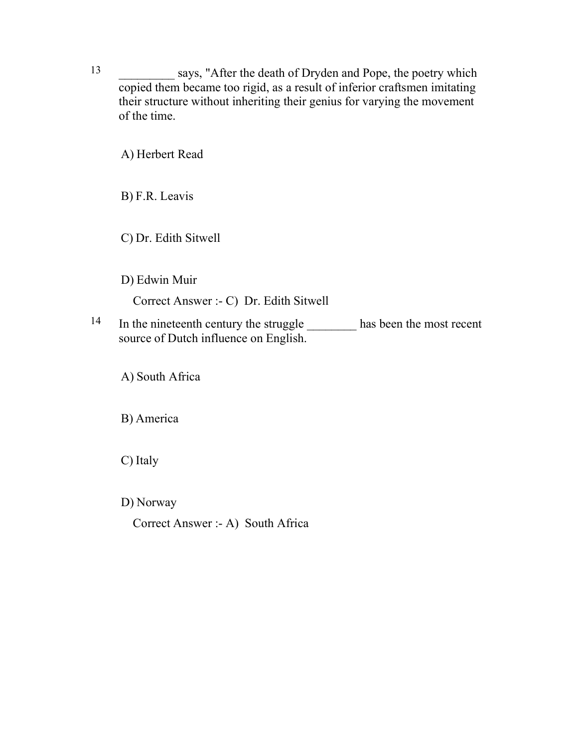13 says, "After the death of Dryden and Pope, the poetry which copied them became too rigid, as a result of inferior craftsmen imitating their structure without inheriting their genius for varying the movement of the time.

A) Herbert Read

B) F.R. Leavis

C) Dr. Edith Sitwell

D) Edwin Muir

Correct Answer :- C) Dr. Edith Sitwell

<sup>14</sup> In the nineteenth century the struggle has been the most recent source of Dutch influence on English.

A) South Africa

B) America

C) Italy

D) Norway

Correct Answer :- A) South Africa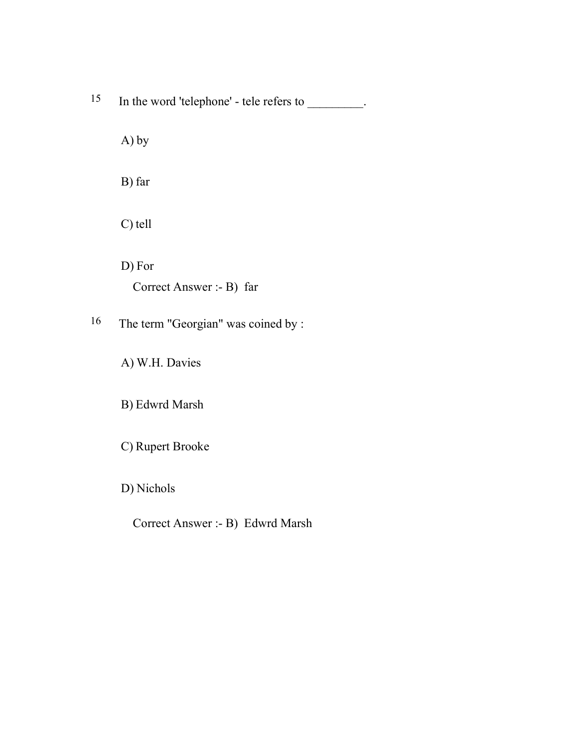15 In the word 'telephone' - tele refers to \_\_\_\_\_\_\_\_.

A) by

B) far

C) tell

D) For Correct Answer :- B) far

16 The term "Georgian" was coined by :

A) W.H. Davies

B) Edwrd Marsh

C) Rupert Brooke

D) Nichols

Correct Answer :- B) Edwrd Marsh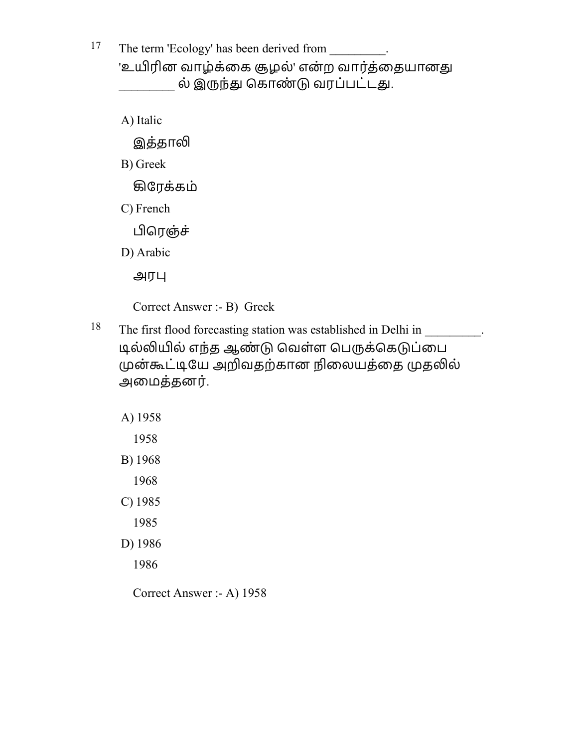<sup>17</sup> The term 'Ecology' has been derived from  $\cdot$ . 'உயிரின வாழ்க்கை சூழல்' என்ற வார்க்கையானது ல் இருந்து கொண்டு வரப்பட்டது.

A) Italic

இத்தாலி

B) Greek

ழேரக்கம்

C) French

பிரெஞ்ச்

D) Arabic

அர

Correct Answer :- B) Greek

<sup>18</sup> The first flood forecasting station was established in Delhi in \_\_\_\_\_\_\_\_\_. டில்லியில் எந்த ஆண்டு வெள்ள பெருக்கெடுப்பை முன்கூட்டியே அறிவதற்கான நிலையத்தை முதலில் அைமத்தனர்.

A) 1958

1958

B) 1968

1968

C) 1985

1985

D) 1986

1986

Correct Answer :- A) 1958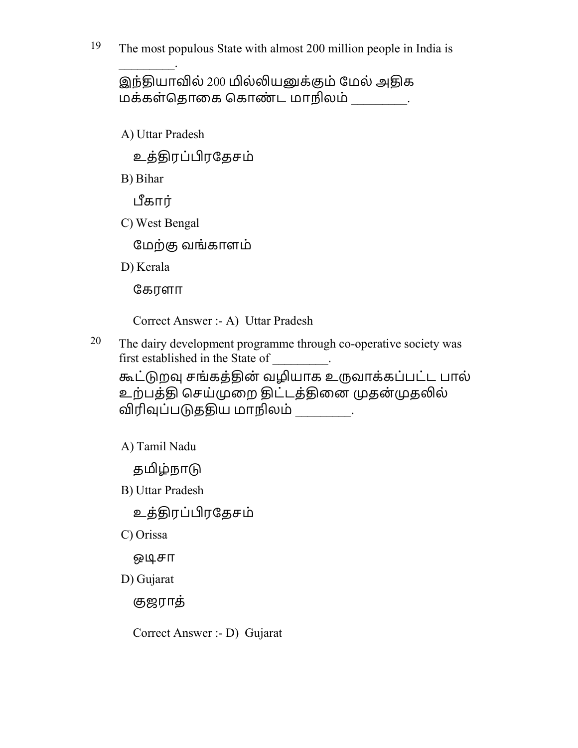19 The most populous State with almost 200 million people in India is

இந்தியாவில் 200 மில்லியனுக்கும் மேல் அதிக மக்கள்தொகை கொண்ட மாநிலம்  $\qquad \qquad .$ 

A) Uttar Pradesh

 $\mathcal{L}$ 

உத்ொரப்ரேதசம்

B) Bihar

கார்

C) West Bengal

ேமற்ஶ வங்காளம்

D) Kerala

ேகரளா

Correct Answer :- A) Uttar Pradesh

 $20$  The dairy development programme through co-operative society was first established in the State of .

கூட்டுறவு சங்கத்தின் வழியாக உருவாக்கப்பட்ட பால் உற்பத்தி செய்முறை திட்டத்தினை முதன்முதலில் விரிவுப்படுததிய மாநிலம்  $\qquad \qquad .$ 

A) Tamil Nadu

தமிழ்நாடு

B) Uttar Pradesh

உத்ொரப்ரேதசம்

C) Orissa

ஒூசா

D) Gujarat

ஶஜராத்

Correct Answer :- D) Gujarat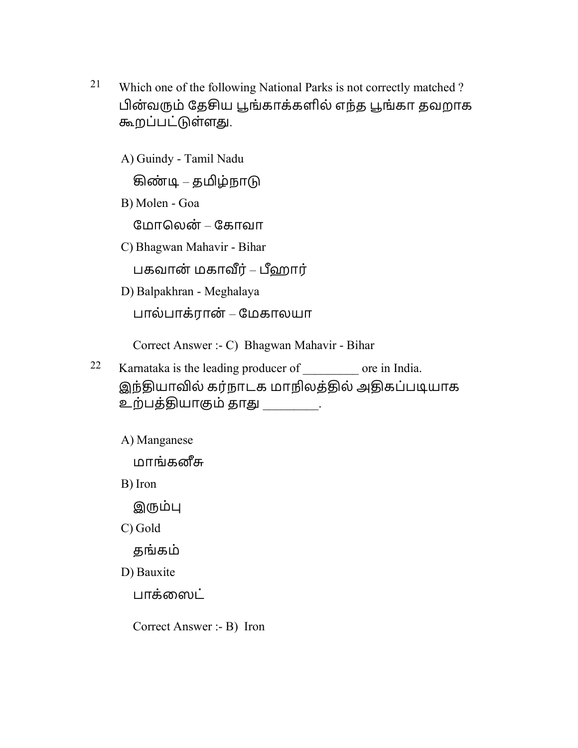21 Which one of the following National Parks is not correctly matched ? பின்வரும் தேசிய பூங்காக்களில் எந்த பூங்கா தவறாக கூறப்பட்டுள்ளது.

A) Guindy - Tamil Nadu

கிண்டி – தமிழ்நாடு

B) Molen - Goa

ேமாெலன் – ேகாவா

C) Bhagwan Mahavir - Bihar

பகவான் மகாவீர் – பீஹார்

D) Balpakhran - Meghalaya

பால்பாக்ரான் – ேமகாலயா

Correct Answer :- C) Bhagwan Mahavir - Bihar

- 22 Karnataka is the leading producer of \_\_\_\_\_\_\_\_\_ ore in India. இந்தியாவில் கர்நாடக மாநிலத்தில் அதிகப்படியாக உற்பத்தியாகும் தாது \_\_\_\_\_\_\_\_.
	- A) Manganese

மாங்கனீசு

B) Iron

இரும்பு

C) Gold

தங்கம்

D) Bauxite

பாக்ஸைட்

Correct Answer :- B) Iron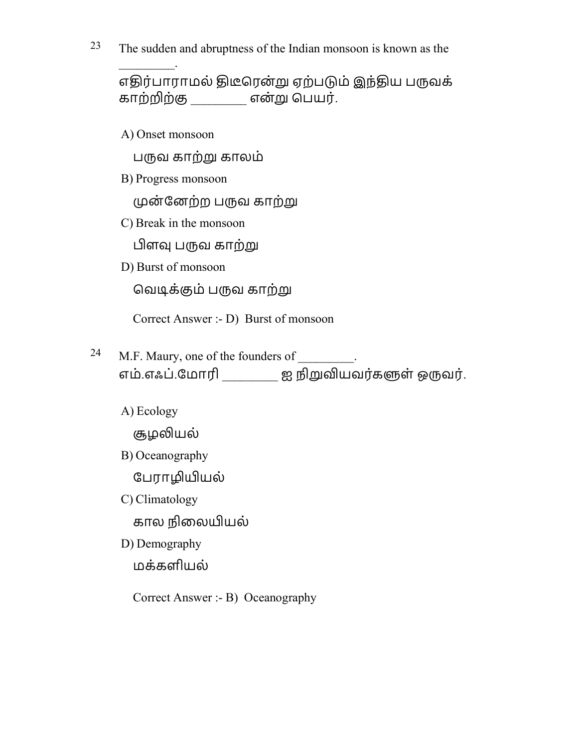$23$  The sudden and abruptness of the Indian monsoon is known as the

எதிர்பாராமல் திடீரென்று ஏற்படும் இந்திய பருவக் காற்றிற்கு என்று பெயர்.

A) Onset monsoon

 $\mathcal{L}$ 

பருவ காற்று காலம்

B) Progress monsoon

முன்னேற்ற பருவ காற்று

C) Break in the monsoon

பிளவு பருவ காற்று

D) Burst of monsoon

வெடிக்கும் பருவ காற்று

Correct Answer :- D) Burst of monsoon

- <sup>24</sup> M.F. Maury, one of the founders of  $\cdot$ எம்.எஃப்.மோரி \_\_\_\_\_\_\_\_\_ ஐ நிறுவியவர்களுள் ஒருவர்.
	- A) Ecology

சூழலியல்

B) Oceanography

பேராழியியல்

- C) Climatology கால நிலையியல்
- D) Demography

மக்களியல்

Correct Answer :- B) Oceanography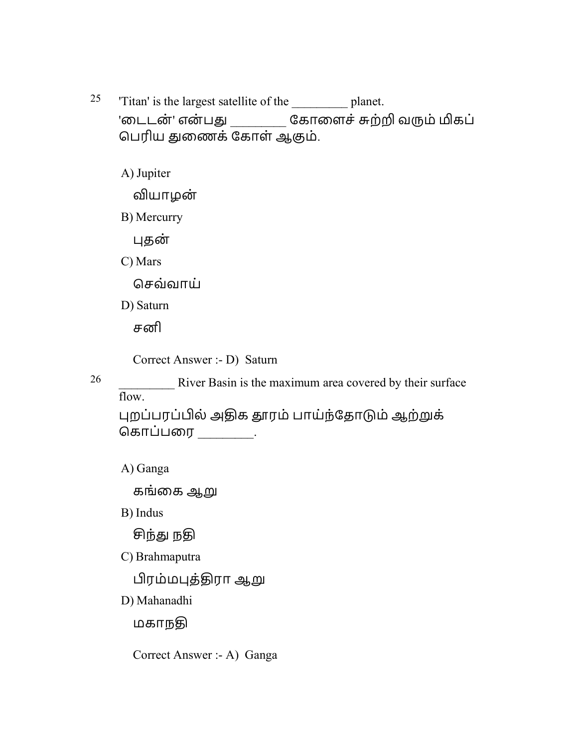25 'Titan' is the largest satellite of the \_\_\_\_\_\_\_\_\_ planet. 'டைடன்' என்பது \_\_\_\_\_\_\_\_\_ கோளைச் சுற்றி வரும் மிகப் பெரிய துணைக் கோள் ஆகும்.

A) Jupiter

வியாழன்

B) Mercurry

தன்

C) Mars

ெசவ்வாய்

D) Saturn

சனி

Correct Answer :- D) Saturn

26 **26** River Basin is the maximum area covered by their surface flow.

புறப்பரப்பில் அதிக தாரம் பாய்ந்தோடும் ஆற்றுக் கொப்பரை \_\_\_\_\_\_\_\_.

A) Ganga

கங்கை ஆறு

B) Indus

சிந்து நகு

C) Brahmaputra

பிரம்மபுத்திரா ஆறு

D) Mahanadhi

மகாநதி

Correct Answer :- A) Ganga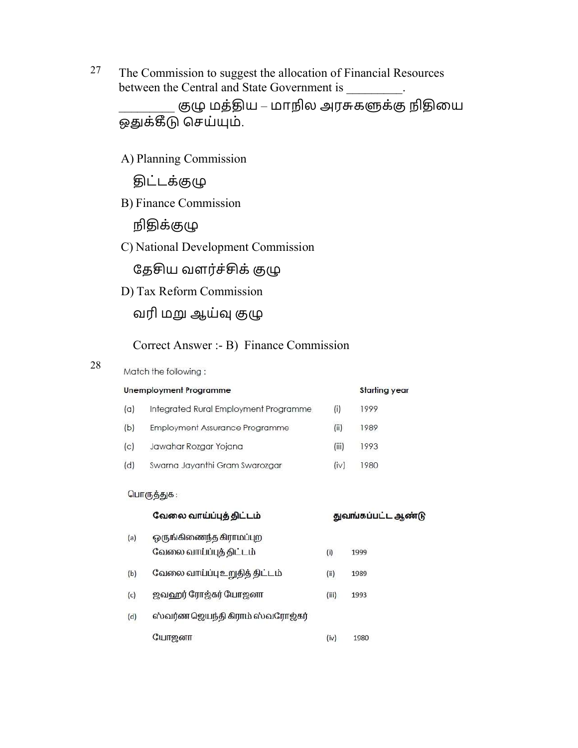$27$  The Commission to suggest the allocation of Financial Resources between the Central and State Government is  $\cdot$ 

குழு மத்திய – மாநில அரசுகளுக்கு நிதியை ஒதுக்கீடு செய்யும்.

A) Planning Commission

<u>இ</u>ட்டக்குழு

B) Finance Commission

நிதிக்குழு

C) National Development Commission

தேசிய வளர்ச்சிக் குழு

D) Tax Reform Commission

வரி மறு ஆய்வு குழு

Correct Answer :- B) Finance Commission

#### 28

## Match the following:

|     | Unemployment Programme                |       | <b>Starting year</b> |
|-----|---------------------------------------|-------|----------------------|
| (a) | Integrated Rural Employment Programme | (i)   | 1999                 |
| (b) | Employment Assurance Programme        | (ii)  | 1989                 |
| (c) | Jawahar Rozgar Yojana                 | (iii) | 1993                 |
| (d) | Swarna Jayanthi Gram Swarozgar        | (iv)  | 1980                 |

#### பொருத்துக:

|     | வேலை வாய்ப்புத் திட்டம்                            |       | துவங்கப்பட்ட ஆண்டு |
|-----|----------------------------------------------------|-------|--------------------|
| (a) | ஒருங்கிணைந்த கிராமப்புற<br>வேலை வாய்ப்புத் திட்டம் | (i)   | 1999               |
| (b) | வேலை வாய்ப்பு உறுதித் திட்டம்                      | (ii)  | 1989               |
| (c) | ஜவஹர் ரோஜ்கர் போஜனா                                | (iii) | 1993               |
| (d) | ஸ்வர்ண ஜெயந்தி கிராம் ஸ்வரோஜ்கர்                   |       |                    |
|     | யோஜனா                                              | (iv)  | 1980               |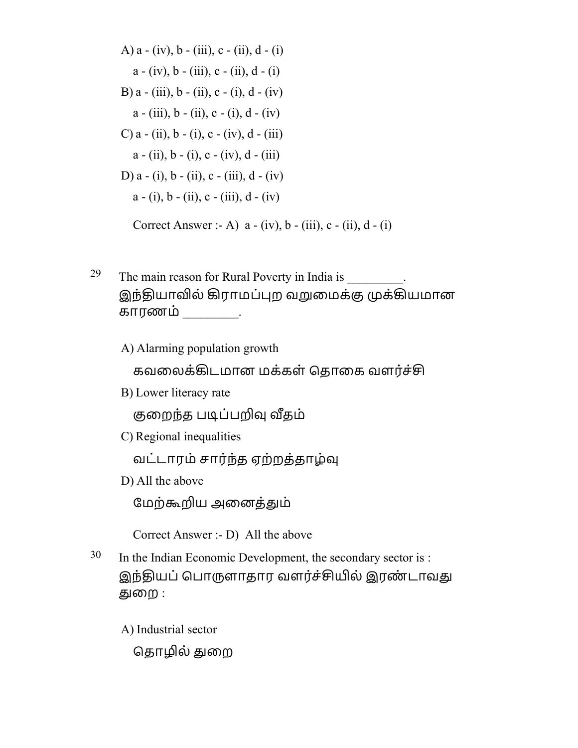A) a - (iv), b - (iii), c - (ii), d - (i) a - (iv), b - (iii), c - (ii), d - (i) B) a - (iii), b - (ii), c - (i), d - (iv) a - (iii), b - (ii), c - (i), d - (iv) C) a - (ii), b - (i), c - (iv), d - (iii) a - (ii), b - (i), c - (iv), d - (iii) D) a - (i), b - (ii), c - (iii), d - (iv) a - (i), b - (ii), c - (iii), d - (iv) Correct Answer :- A) a - (iv), b - (iii), c - (ii), d - (i)

<sup>29</sup> The main reason for Rural Poverty in India is  $\frac{29}{\sqrt{25}}$ . இந்தியாவில் கிராமப்புற வறுமைக்கு முக்கியமான காரணம் \_\_\_\_\_\_\_\_\_.

A) Alarming population growth

கவலைக்கிடமான மக்கள் தொகை வளர்ச்சி

B) Lower literacy rate

குறைந்த படிப்பறிவு வீதம்

C) Regional inequalities

வட்டாரம் சார்ந்த ஏற்றத்தாழ்வு

D) All the above

மேற்கூறிய அனைத்தும்

Correct Answer :- D) All the above

30 In the Indian Economic Development, the secondary sector is : இந்தியப் பொருளாதார வளர்ச்சியில் இரண்டாவது ௌைற :

A) Industrial sector

தொழில் துறை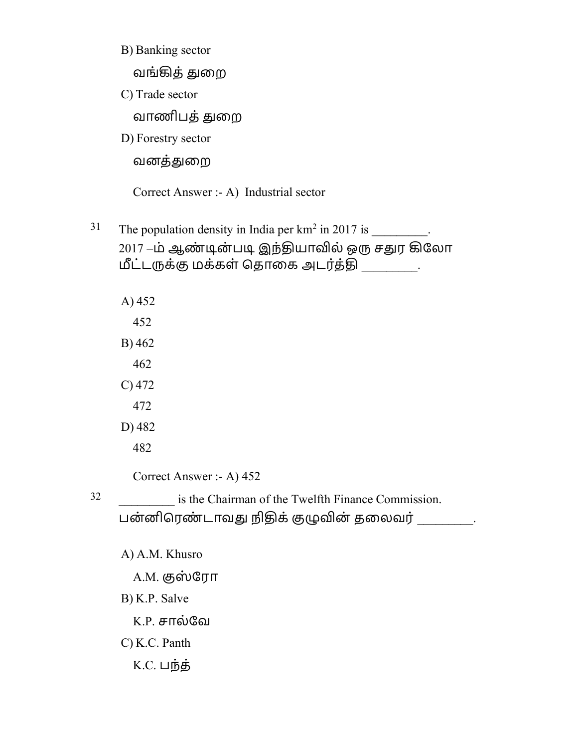B) Banking sector

வங்ழத்ௌைற

C) Trade sector

வாணிபத்ௌைற

D) Forestry sector

வனத்ௌைற

Correct Answer :- A) Industrial sector

- <sup>31</sup> The population density in India per  $km^2$  in 2017 is  $\cdot$ 2017 –ம் ஆண்டின்படி இந்தியாவில் ஒரு சதுர கிலோ மீட்டருக்கு மக்கள் தொகை அடர்த்தி .
	- A) 452 452 B) 462 462 C) 472 472 D) 482 482

Correct Answer :- A) 452

32 \_\_\_\_\_\_\_\_\_ is the Chairman of the Twelfth Finance Commission. பன்னிரெண்டாவது நிதிக் குழுவின் தலைவர் \_\_\_\_\_\_\_\_.

A) A.M. Khusro

A.M. குஸ்ரோ

B) K.P. Salve

K.P. சால்ேவ

C) K.C. Panth

K.C. பந்த்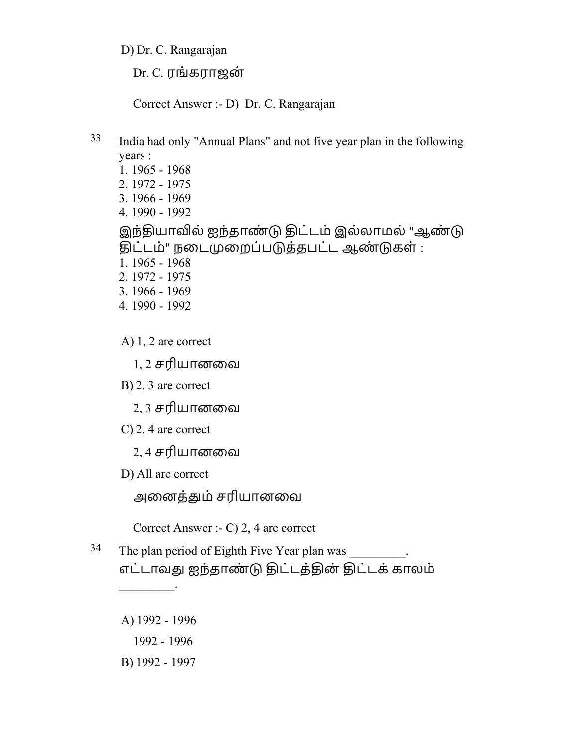D) Dr. C. Rangarajan

Dr. C. ரங்கராஜன்

Correct Answer :- D) Dr. C. Rangarajan

33 India had only "Annual Plans" and not five year plan in the following years : 1. 1965 - 1968 2. 1972 - 1975 3. 1966 - 1969 4. 1990 - 1992 இந்தியாவில் ஐந்தாண்டு திட்டம் இல்லாமல் "ஆண்டு திட்டம்" நடைமுறைப்படுத்தபட்ட ஆண்டுகள் : 1. 1965 - 1968 2. 1972 - 1975 3. 1966 - 1969

- 4. 1990 1992
- A) 1, 2 are correct
	- 1, 2 சரியானைவ
- B) 2, 3 are correct
	- 2, 3 சரியானைவ
- C) 2, 4 are correct
	- 2, 4 சரியானைவ
- D) All are correct

அைனத்ௌம் சரியானைவ

Correct Answer :- C) 2, 4 are correct

- <sup>34</sup> The plan period of Eighth Five Year plan was எட்டாவது ஐந்தாண்டு திட்டத்தின் திட்டக் காலம்
	- A) 1992 1996

 $\overline{\phantom{a}}$  .

- 1992 1996
- B) 1992 1997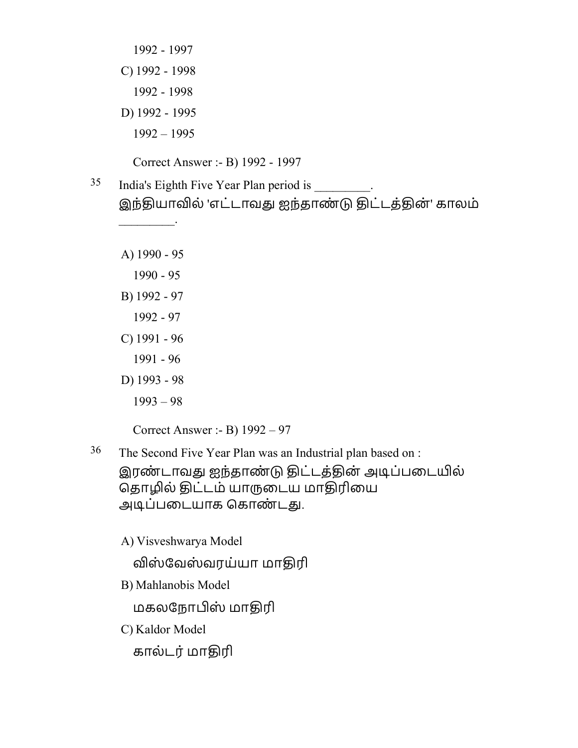- 1992 1997 C) 1992 - 1998 1992 - 1998 D) 1992 - 1995 1992 – 1995 Correct Answer :- B) 1992 - 1997
- <sup>35</sup> India's Eighth Five Year Plan period is . இந்தியாவில் 'எட்டாவது ஐந்தாண்டு திட்டத்தின்' காலம்
	- A) 1990 95

 $\frac{1}{2}$ 

- 1990 95
- B) 1992 97
	- 1992 97
- C) 1991 96
- 1991 96
- D) 1993 98
	- 1993 98

Correct Answer :- B) 1992 – 97

36 The Second Five Year Plan was an Industrial plan based on : இரண்டாவது ஐந்தாண்டு திட்டத்தின் அடிப்படையில் தொழில் திட்டம் யாருடைய மாதிரியை அடிப்படையாக கொண்டது.

A) Visveshwarya Model

விஸ்வேஸ்வரய்யா மாதிரி

B) Mahlanobis Model

மகலநோபிஸ் மாதிரி

C) Kaldor Model

கால்டர் மாதிரி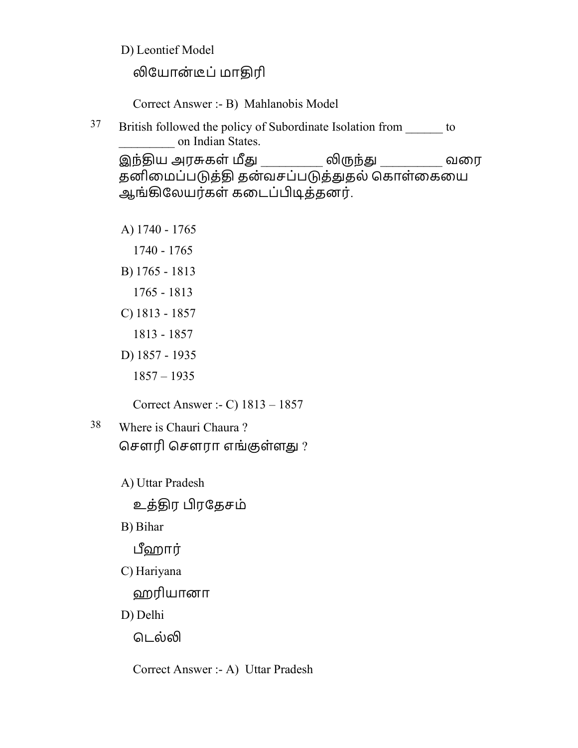D) Leontief Model

லியோன்டீப் மாதிரி

Correct Answer :- B) Mahlanobis Model

<sup>37</sup> British followed the policy of Subordinate Isolation from to on Indian States.

இந்திய அரசுகள் மீது \_\_\_\_\_\_\_\_\_\_ லிருந்து \_\_\_\_\_\_\_\_\_\_ வரை தனிமைப்படுத்தி தன்வசப்படுத்துதல் கொள்கையை ஆங்கிலேயர்கள் கடைப்பிடித்தனர்.

A) 1740 - 1765

- 1740 1765
- B) 1765 1813
	- 1765 1813
- C) 1813 1857
	- 1813 1857
- D) 1857 1935
	- 1857 1935

Correct Answer :- C) 1813 – 1857

- 38 Where is Chauri Chaura ? சௌரி சௌரா எங்குள்ளது ?
	- A) Uttar Pradesh

உத்ொர ரேதசம்

B) Bihar

ஹார்

C) Hariyana

ஹரியானா

D) Delhi

டெல்லி

Correct Answer :- A) Uttar Pradesh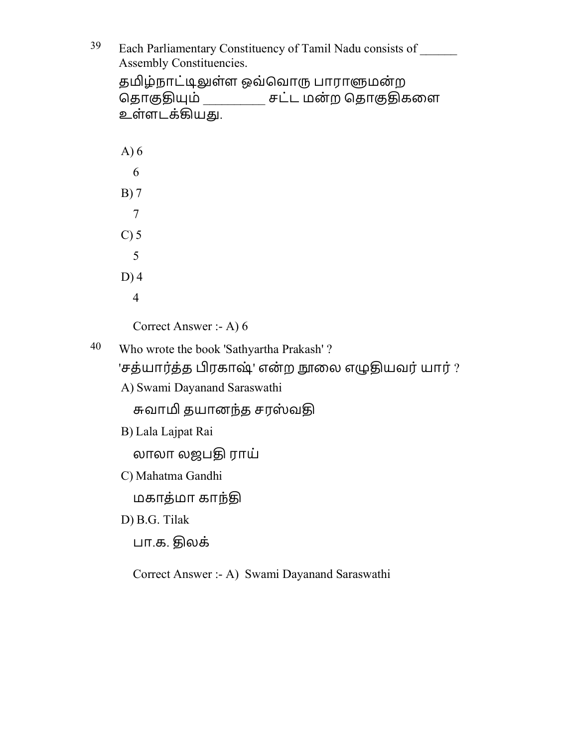<sup>39</sup> Each Parliamentary Constituency of Tamil Nadu consists of Assembly Constituencies. தமிழ்நாட்டிலுள்ள ஒவ்வொரு பாராளுமன்ற தொகுதியும் \_\_\_\_\_\_\_\_\_\_ சட்ட மன்ற தொகுதிகளை உள்ளடக்கியது. A) 6 6 B) 7 7 C) 5 5 D) 4 4 Correct Answer :- A) 6 40 Who wrote the book 'Sathyartha Prakash' ? 'சத்யார்த்த பிரகாஷ்' என்ற நூலை எழுதியவர் யார் ? A) Swami Dayanand Saraswathi சுவாமி தயானந்த சரஸ்வதி B) Lala Lajpat Rai லாலா லஜபதி ராய் C) Mahatma Gandhi மகாத்மா காந்தி D) B.G. Tilak பா.க. ொலக்

Correct Answer :- A) Swami Dayanand Saraswathi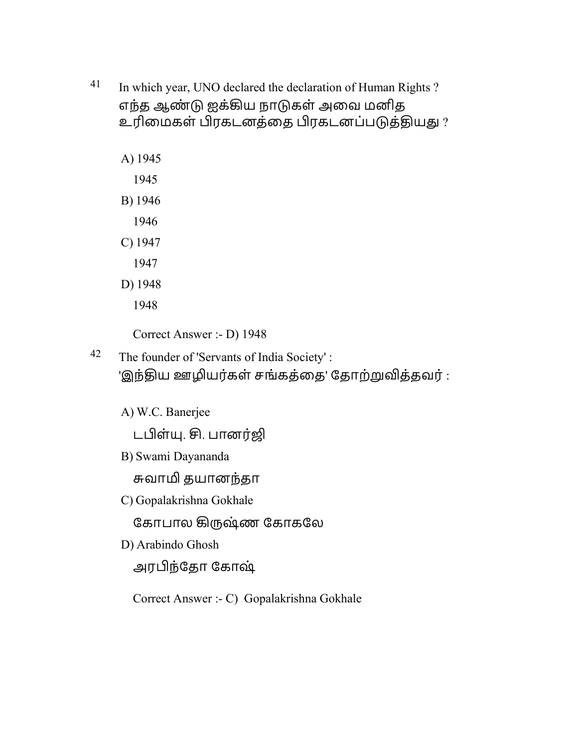- 41 In which year, UNO declared the declaration of Human Rights ? எந்த ஆண் ஐக்ழய நாகள் அைவ மனித உரிமைகள் பிரகடனத்தை பிரகடனப்படுத்தியது?
	- A) 1945
		- 1945
	- B) 1946
		- 1946
	- C) 1947
		- 1947
	- D) 1948
		- 1948
		- Correct Answer :- D) 1948
- 42 The founder of 'Servants of India Society' : 'இந்திய ஊழியர்கள் சங்கத்தை' தோற்றுவித்தவர் :
	- A) W.C. Banerjee
		- டபிள்யு. சி. பானர்ஜி
	- B) Swami Dayananda

சுவாமி தயானந்தா

- C) Gopalakrishna Gokhale
	- கோபால கிருஷ்ண கோகலே
- D) Arabindo Ghosh

அரந்ேதா ேகாஷ்

Correct Answer :- C) Gopalakrishna Gokhale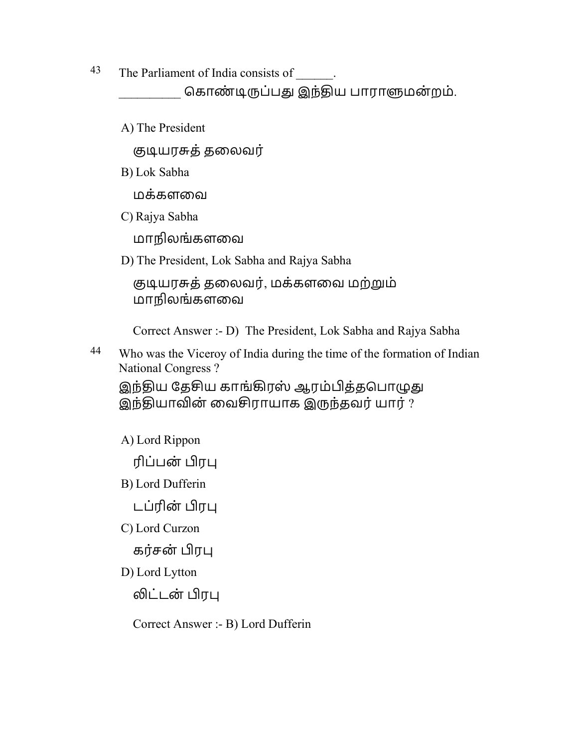43 The Parliament of India consists of \_\_\_\_\_\_.

கொண்டிருப்பது இந்திய பாராளுமன்றம்.

A) The President

குடியரசுத் தலைவர்

B) Lok Sabha

மக்களைவ

C) Rajya Sabha

மாநிலங்களைவ

D) The President, Lok Sabha and Rajya Sabha

```
 ஶூயராத்தைலவர், மக்களைவ மற்ம்
மாநிலங்களைவ
```
Correct Answer :- D) The President, Lok Sabha and Rajya Sabha

<sup>44</sup> Who was the Viceroy of India during the time of the formation of Indian National Congress ?

இந்திய தேசிய காங்கிரஸ் ஆரம்பித்தபொழுது இந்தியாவின் வைசிராயாக இருந்தவர் யார் ?

A) Lord Rippon

ரிப்பன் ர

- B) Lord Dufferin
	- டப்ரின் பிரபு
- C) Lord Curzon

கர்சன் பிரபு

D) Lord Lytton

லிட்டன் பிரபு

Correct Answer :- B) Lord Dufferin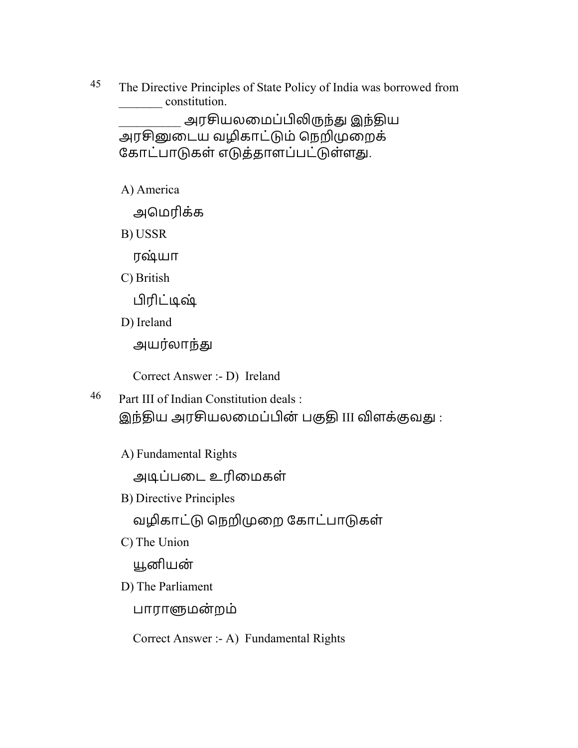<sup>45</sup> The Directive Principles of State Policy of India was borrowed from \_\_\_\_\_\_\_ constitution.

அரசியலமைப்பிலிருந்து இந்திய அரசினுடைய வழிகாட்டும் நெறிமுறைக் கோட்பாடுகள் எடுத்தாளப்பட்டுள்ளது.

A) America

அெமரிக்க

B) USSR

ரஷ்யா

C) British

ரிட்ூஷ்

D) Ireland

அயர்லாந்து

Correct Answer :- D) Ireland

- 46 Part III of Indian Constitution deals : இந்திய அரசியலமைப்பின் பகுதி III விளக்குவது :
	- A) Fundamental Rights

அூப்பைட உரிைமகள்

B) Directive Principles

வழிகாட்டு நெறிமுறை கோட்பாடுகள்

C) The Union

னியன்

D) The Parliament

பாராளுமன்றம்

Correct Answer :- A) Fundamental Rights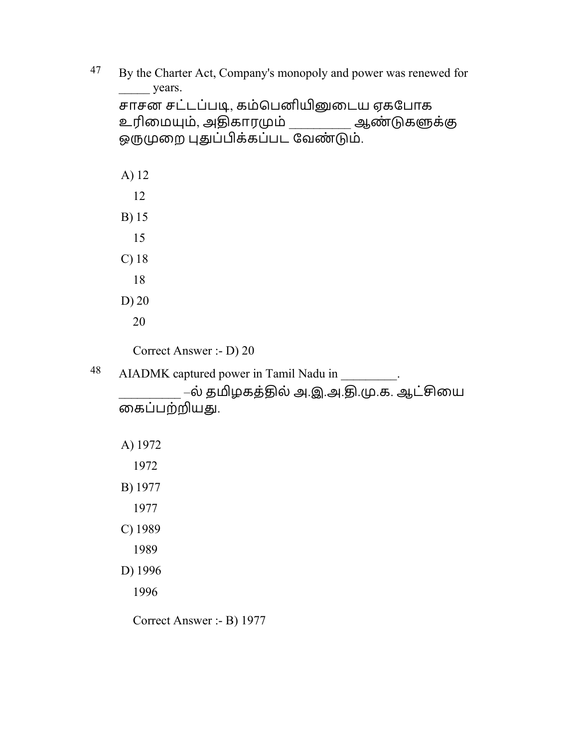| 47 | By the Charter Act, Company's monopoly and power was renewed for<br>years. |
|----|----------------------------------------------------------------------------|
|    | சாசன சட்டப்படி, கம்பெனியினுடைய ஏகபோக                                       |
|    | உரிமையும், அதிகாரமும் __________ ஆண்டுகளுக்கு                              |
|    | ஒருமுறை புதுப்பிக்கப்பட வேண்டும்.                                          |
|    | A) 12                                                                      |
|    | 12                                                                         |
|    | B) 15                                                                      |
|    | 15                                                                         |
|    | $C)$ 18                                                                    |
|    | 18                                                                         |
|    | $D)$ 20                                                                    |
|    | 20                                                                         |
|    | Correct Answer :- D) 20                                                    |
| 48 | AIADMK captured power in Tamil Nadu in                                     |
|    | –ல் தமிழகத்தில் அ.இ.அ.தி.மு.க. ஆட்சியை                                     |
|    | கைப்பற்றியது.                                                              |
|    | A) 1972                                                                    |
|    | 1972                                                                       |
|    | B) 1977                                                                    |
|    | 1977                                                                       |
|    | C) 1989                                                                    |
|    | 1989                                                                       |
|    | D) 1996                                                                    |
|    | 1996                                                                       |
|    |                                                                            |

Correct Answer :- B) 1977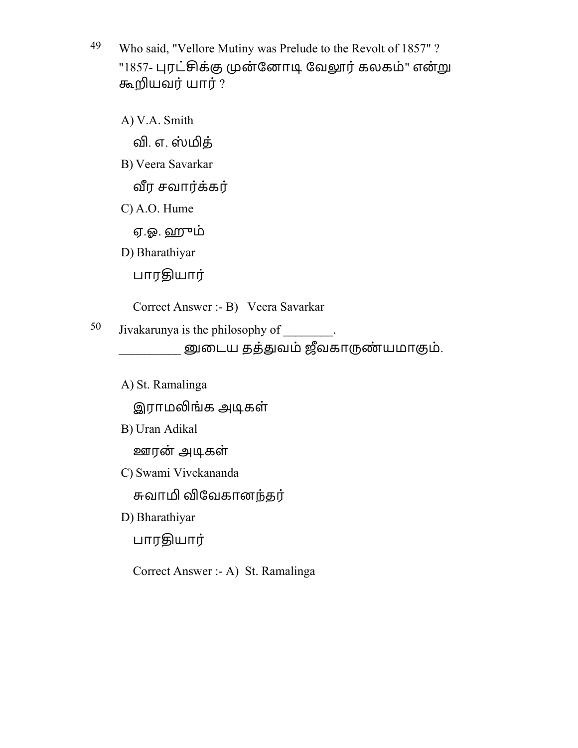49 Who said, "Vellore Mutiny was Prelude to the Revolt of 1857" ? "1857- புரட்சிக்கு முன்னோடி வேலூர் கலகம்" என்று ஷயவர்யார் ?

A) V.A. Smith வி. எ. ஸ்மித் B) Veera Savarkar வீர சவார்க்கர் C) A.O. Hume ஏ.ஓ. ஹஓம் D) Bharathiyar பாரதியார் Correct Answer :- B) Veera Savarkar 50 Jivakarunya is the philosophy of  $\qquad$ . னுடைய தத்துவம் ஜீவகாருண்யமாகும்.

A) St. Ramalinga

இராமலிங்க அடிகள்

B) Uran Adikal

ஊரன் அடிகள்

C) Swami Vivekananda

சுவாமி விவேகானந்தர்

D) Bharathiyar

பாரதியார்

Correct Answer :- A) St. Ramalinga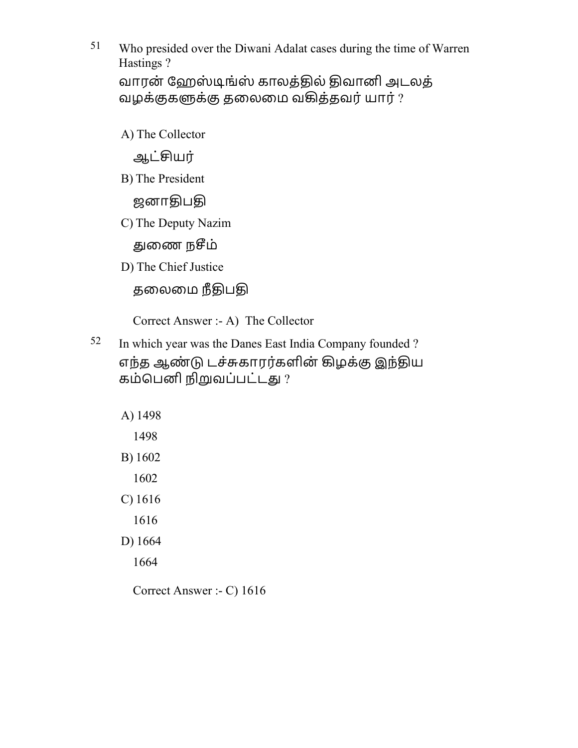51 Who presided over the Diwani Adalat cases during the time of Warren Hastings ? வாரன் ஹேஸ்டிங்ஸ் காலத்தில் திவானி அடலத் வழக்குகளுக்கு தலைமை வகித்தவர் யார் ?

A) The Collector

ஆட்யர்

B) The President

ஜனாதிபதி

C) The Deputy Nazim

துணை நசீம்

D) The Chief Justice

தலைமை நீதிபதி

Correct Answer :- A) The Collector

52 In which year was the Danes East India Company founded ? எந்த ஆண்டு டச்சுகாரர்களின் கிழக்கு இந்திய கம்பெனி நிறுவப்பட்டது ?

A) 1498

1498

B) 1602

1602

C) 1616

1616

D) 1664

1664

Correct Answer :- C) 1616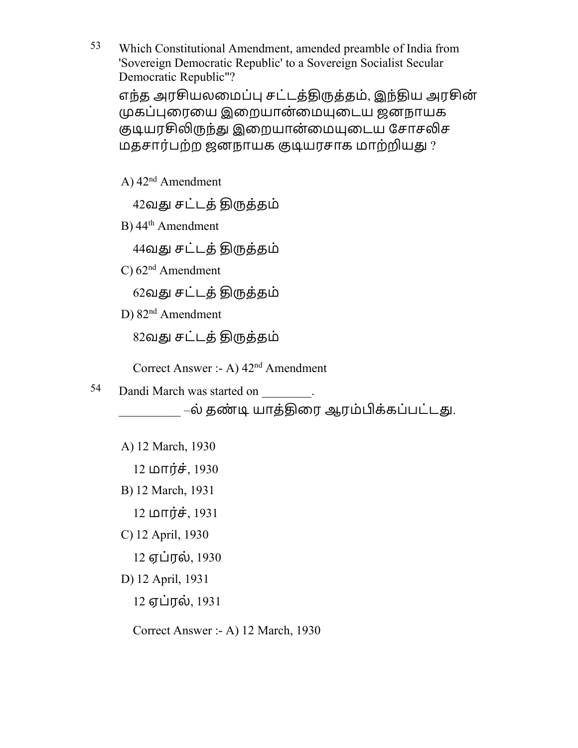53 Which Constitutional Amendment, amended preamble of India from 'Sovereign Democratic Republic' to a Sovereign Socialist Secular Democratic Republic"?

எந்த அரசியலமைப்பு சட்டத்திருத்தம், இந்திய அரசின் கப்ைரைய இைறயான்ைமைடய ஜனநாயக குடியரசிலிருந்து இறையான்மையுடைய சோசலிச மதசார்பற்ற ஜனநாயக குடியரசாக மாற்றியது ?

A)  $42<sup>nd</sup>$  Amendment

42வது சட்டத் திருத்தம்

B) 44<sup>th</sup> Amendment

44வது சட்டத் திருத்தம்

 $C$ )  $62<sup>nd</sup>$  Amendment

62வது சட்டத் திருத்தம்

D) 82<sup>nd</sup> Amendment

82வது சட்டத் திருத்தம்

Correct Answer :- A) 42nd Amendment

54 Dandi March was started on

–ல் தண்டி யாத்திரை ஆரம்பிக்கப்பட்டது.

A) 12 March, 1930

 $12 \text{ L}$ 

B) 12 March, 1931

 $12 \text{ ln}$ ர்ச்,  $1931$ 

C) 12 April, 1930

12 ஏப்ரல், 1930

D) 12 April, 1931

12 ஏப்ரல், 1931

Correct Answer :- A) 12 March, 1930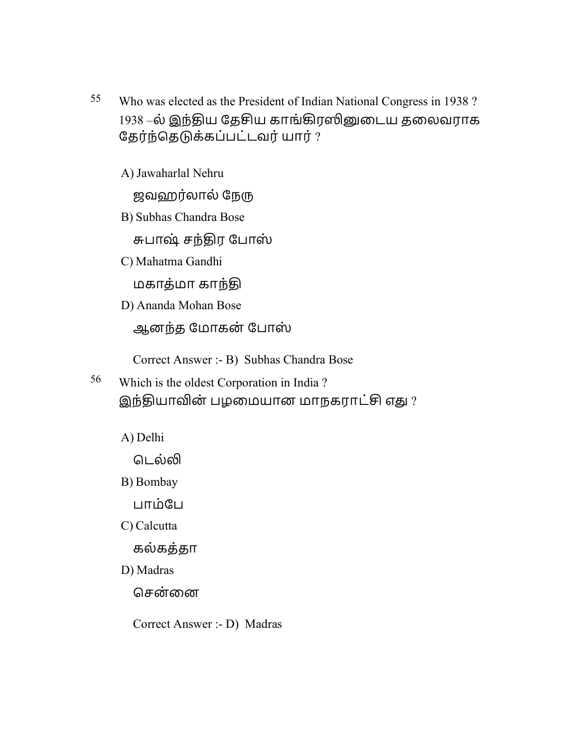55 Who was elected as the President of Indian National Congress in 1938 ? 1938 –ல் இந்திய தேசிய காங்கிரஸினுடைய தலைவராக தேர்ந்தெடுக்கப்பட்டவர் யார் ?

A) Jawaharlal Nehru

ஜவஹர்லால் நேரு

B) Subhas Chandra Bose

சுபாஷ் சந்திர போஸ்

C) Mahatma Gandhi

மகாத்மா காந்ொ

D) Ananda Mohan Bose

ஆனந்த ேமாகன் ேபாஸ்

Correct Answer :- B) Subhas Chandra Bose

56 Which is the oldest Corporation in India ? இந்தியாவின் பழமையான மாநகராட்சி எது ?

A) Delhi

டெல்லி

B) Bombay

பாம்பே

C) Calcutta

கல்கத்தா

D) Madras

சென்னை

Correct Answer :- D) Madras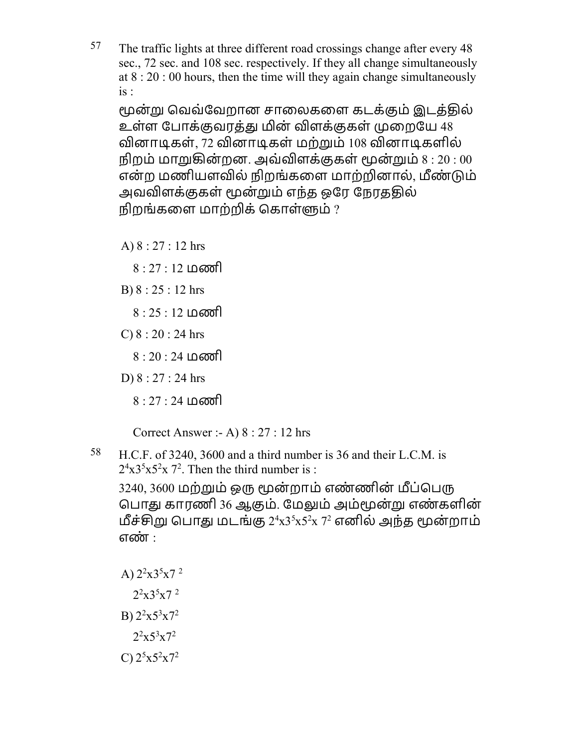$57$  The traffic lights at three different road crossings change after every 48 sec., 72 sec. and 108 sec. respectively. If they all change simultaneously at 8 : 20 : 00 hours, then the time will they again change simultaneously is :

மூன்று வெவ்வேறான சாலைகளை கடக்கும் இடக்கில் உள்ள போக்குவரத்து மின் விளக்குகள் முறையே 48 வினாடிகள், 72 வினாடிகள் மற்றும் 108 வினாடிகளில் நிறம் மாறுகின்றன. அவ்விளக்குகள் மூன்றும்  $8:20:00$ என்ற மணியளவில் நிறங்களை மாற்றினால், மீண்டும் அவவிளக்குகள் மூன்றும் எந்த ஒரே நேரததில் நிறங்களை மாற்றிக் கொள்ளும்  $?$ 

- A) 8 : 27 : 12 hrs
	- 8 : 27 : 12 மணி
- B) 8 : 25 : 12 hrs
	- 8 : 25 : 12 மணி
- C)  $8:20:24$  hrs
	- 8 : 20 : 24 மணி
- D) 8 : 27 : 24 hrs
	- 8 : 27 : 24 மணி

Correct Answer :- A) 8 : 27 : 12 hrs

58 H.C.F. of 3240, 3600 and a third number is 36 and their L.C.M. is  $2^4x3^5x5^2x7^2$ . Then the third number is :

3240, 3600 மற்றும் ஒரு மூன்றாம் எண்ணின் மீப்பெரு பொது காரணி 36 ஆகும். மேலும் அம்மூன்று எண்களின் மீச்சிறு பொது மடங்கு  $2^4$ x $3^5$ x $5^2$ x  $7^2$  எனில் அந்த மூன்றாம் எண் :

- A)  $2^2 \times 3^5 \times 7^2$ 
	- $2^2$ x $3^5$ x $7^2$
- B)  $2^2 \times 5^3 \times 7^2$
- $2^2x5^3x7^2$
- C)  $2^5x5^2x7^2$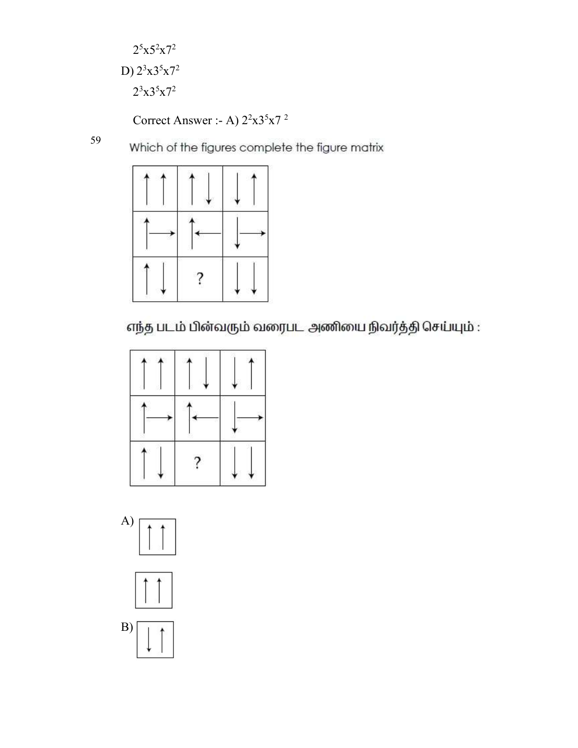$2^5x5^2x7^2$ D)  $2^3x3^5x7^2$  $2^3x3^5x7^2$ 

Correct Answer :- A)  $2^2 \times 3^5 \times 7^2$ 

59

Which of the figures complete the figure matrix







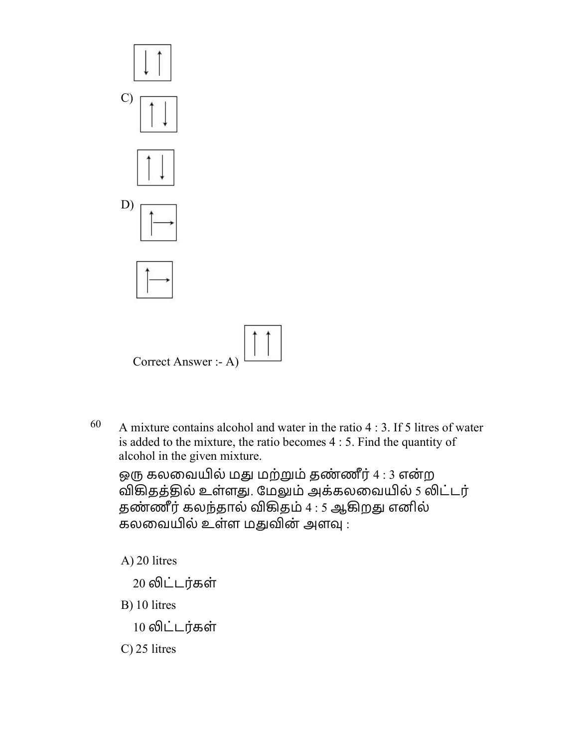

 $60$  A mixture contains alcohol and water in the ratio 4 : 3. If 5 litres of water is added to the mixture, the ratio becomes 4 : 5. Find the quantity of alcohol in the given mixture.

ஒரு கலவையில் மது மற்றும் தண்ணீர் 4 : 3 என்ற விகிதத்தில் உள்ளது. மேலும் அக்கலவையில் 5 லிட்டர் தண்ணீர் கலந்தால் விகிதம்  $4:5$  ஆகிறது எனில் கலவையில் உள்ள மதுவின் அளவு :

A) 20 litres

20 லிட்டர்கள்

B) 10 litres

10 லிட்டர்கள்

C) 25 litres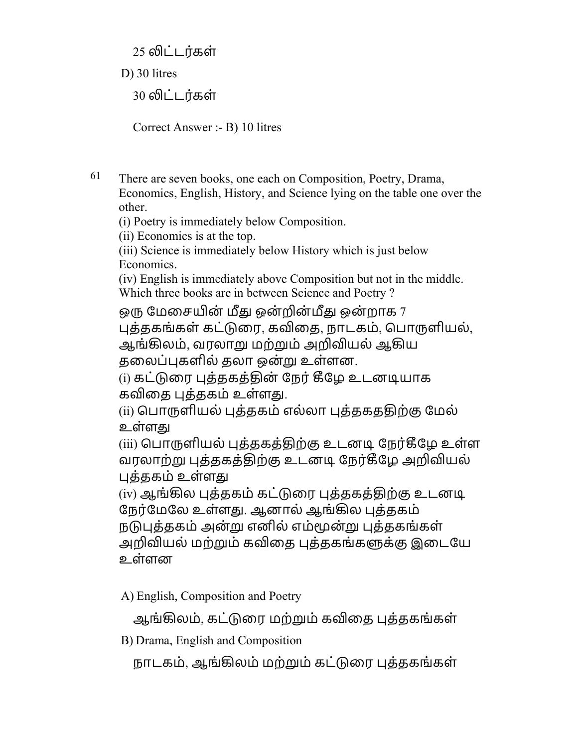25 லிட்டர்கள்

D) 30 litres

30 லிட்டர்கள்

Correct Answer :- B) 10 litres

61 There are seven books, one each on Composition, Poetry, Drama, Economics, English, History, and Science lying on the table one over the other.

(i) Poetry is immediately below Composition.

(ii) Economics is at the top.

(iii) Science is immediately below History which is just below Economics.

(iv) English is immediately above Composition but not in the middle. Which three books are in between Science and Poetry ?

ஒரு மேசையின் மீது ஒன்றின்மீது ஒன்றாக 7 புக்ககங்கள் கட்டுரை, கவிகை, நாடகம், பொருளியல், ஆங்கிலம், வரலாறு மற்றும் அறிவியல் ஆகிய தலைப்புகளில் தலா ஒன்று உள்ளன.

(i) கட்டுரை புத்தகத்தின் நேர் கீழே உடனடியாக கவிதை புத்தகம் உள்ளது.

(ii) பொருளியல் புக்ககம் எல்லா புக்ககத்திற்கு மேல் உள்ளௌ

(iii) பொருளியல் புத்தகத்திற்கு உடனடி நேர்கீழே உள்ள வரலாற்று புத்தகத்திற்கு உடனடி நேர்கீழே அறிவியல் புத்தகம் உள்ளது

(iv) ஆங்கில புத்தகம் கட்டுரை புத்தகத்திற்கு உடனடி நேர்மேலே உள்ளது. ஆனால் ஆங்கில புத்தகம் நடுபுத்தகம் அன்று எனில் எம்மூன்று புத்தகங்கள் அறிவியல் மற்றும் கவிகை புக்ககங்களுக்கு இடையே உள்ளன

A) English, Composition and Poetry

ஆங்கிலம், கட்டுரை மற்றும் கவிதை புத்தகங்கள்

B) Drama, English and Composition

நாடகம், ஆங்கிலம் மற்றும் கட்டுரை புத்தகங்கள்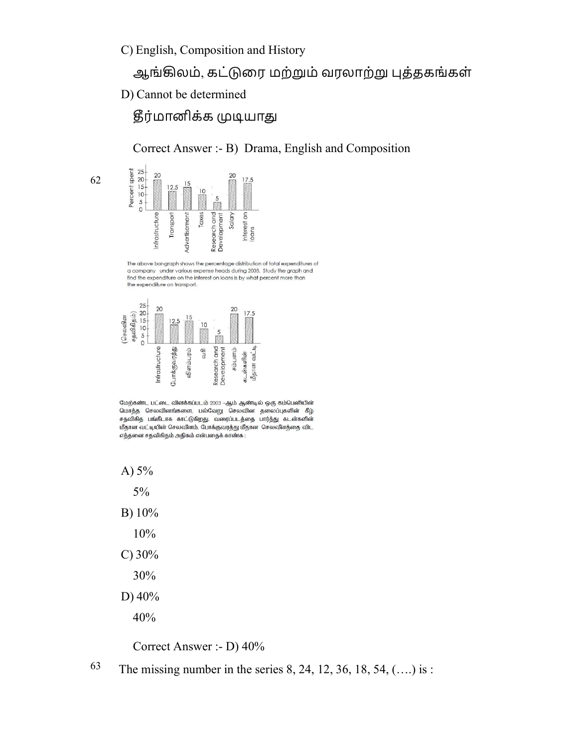C) English, Composition and History

## ஆங்கிலம், கட்டுரை மற்றும் வரலாற்று புத்தகங்கள்

D) Cannot be determined

# தீர்மானிக்க முடியாது

Correct Answer :- B) Drama, English and Composition



62

The above bar-graph shows the percentage distribution of total expenditures of a company under various expense heads during 2003. Study the graph and<br>find the expenditure on the interest on loans is by what percent more than the expenditure on transport.



மேற்கண்ட பட்டை விளக்கப்படம் 2003 -ஆம் ஆண்டில் ஒரு கம்பெனியின் மொத்த செலவினங்களை, பல்வேறு செலவின தலைப்புகளின் கீழ் சதவிகித பங்கீடாக காட்டுகிறது. வரைப்படத்தை பார்த்து கடன்களின் மீதான வட்டியின் செலவீனம், போக்குவரத்து மீதான செலவீனத்தை விட எத்தனை சதவிகிதம் அதிகம் என்பதைக் காண்க :

A)  $5%$ 

5%

- B) 10%
	- 10%
- C) 30%
	- 30%
- D) 40%

40%

Correct Answer :- D) 40%

63 The missing number in the series 8, 24, 12, 36, 18, 54,  $(...)$  is :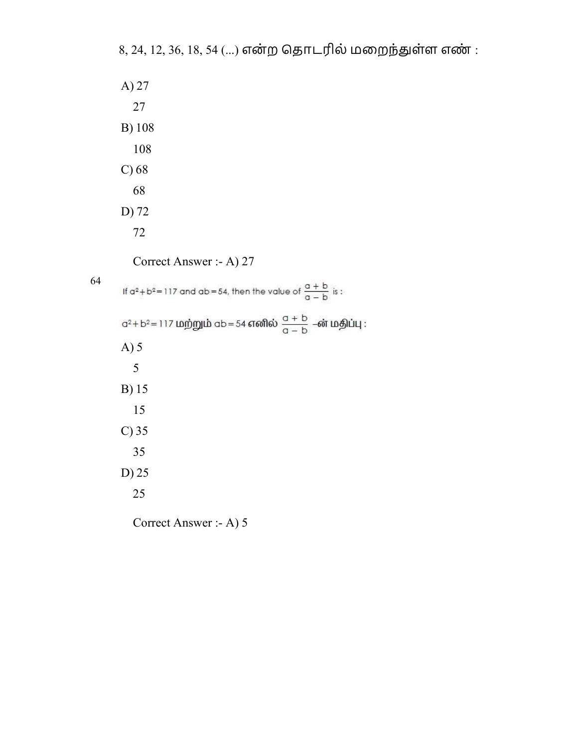$8, 24, 12, 36, 18, 54$  (...) என்ற தொடரில் மறைந்துள்ள எண்:

Correct Answer :- A) 27

64

If  $a^2 + b^2 = 117$  and  $ab = 54$ , then the value of  $\frac{a + b}{a - b}$  is:  $a^2 + b^2 = 117$  மற்றும்  $ab = 54$  எனில்  $\frac{a + b}{a - b}$  –ன் மதிப்பு : A) 5 5 B) 15 15 C) 35 35 D) 25 25

Correct Answer :- A) 5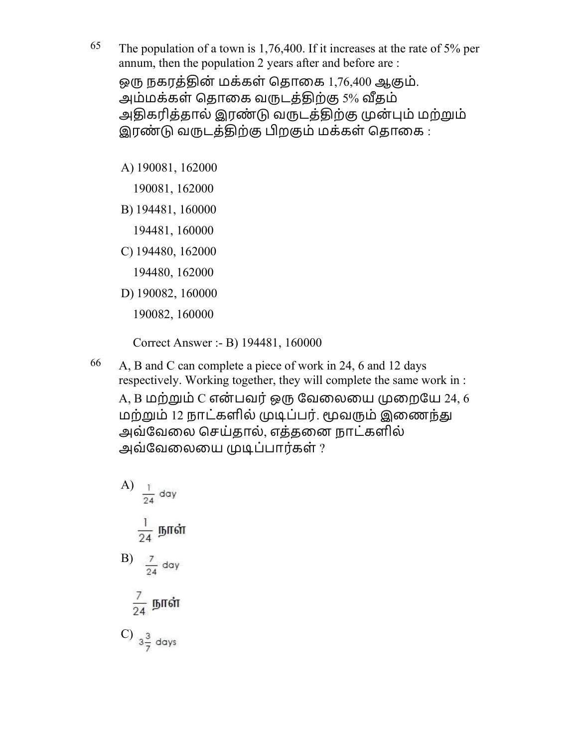<sup>65</sup> The population of a town is 1,76,400. If it increases at the rate of 5% per annum, then the population 2 years after and before are : ஒரு நகரத்தின் மக்கள் தொகை 1,76,400 ஆகும். அம்மக்கள் தொகை வருடத்திற்கு 5% வீதம் அதிகரித்தால் இரண்டு வருடத்திற்கு முன்பும் மற்றும் இரண்டு வருடத்திற்கு பிறகும் மக்கள் தொகை :

A) 190081, 162000

190081, 162000

B) 194481, 160000

194481, 160000

- C) 194480, 162000
	- 194480, 162000
- D) 190082, 160000

190082, 160000

Correct Answer :- B) 194481, 160000

66 A, B and C can complete a piece of work in 24, 6 and 12 days respectively. Working together, they will complete the same work in :

 $A, B$  மற்றும்  $C$  என்பவர் ஒரு வேலையை முறையே 24, 6 மற்றும் 12 நாட்களில் முடிப்பர். மூவரும் இணைந்து அவ்வேலை செய்தால், எத்தனை நாட்களில் அவ்வேலையை முடிப்பார்கள் ?

A) B) C)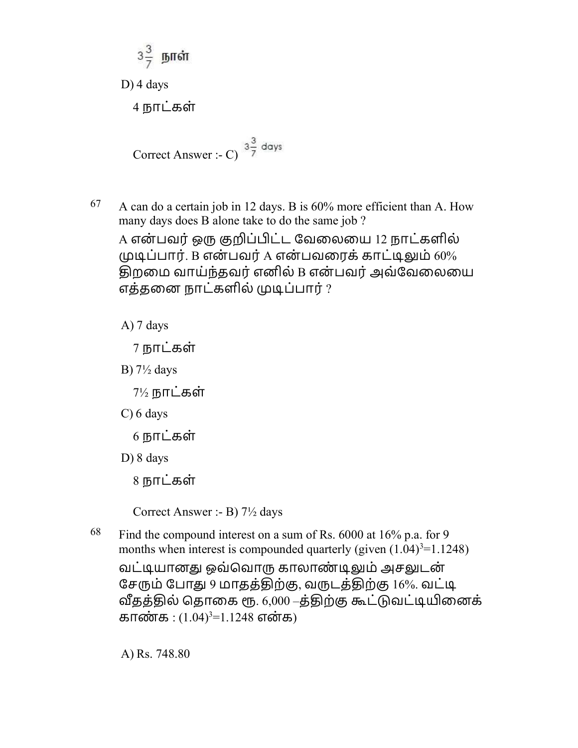$$
3\frac{3}{7}
$$
 *Im* in

D) 4 days

4 நாட்கள்

Correct Answer :- C)  $3\frac{3}{7}$  days

 $67$  A can do a certain job in 12 days. B is  $60\%$  more efficient than A. How many days does B alone take to do the same job ?

A என்பவர் ஒரு குறிப்பிட்ட வேலையை 12 நாட்களில்  $\mu$ டிப்பார். B என்பவர் A என்பவரைக் காட்டிலும் 60% ொறைம வாய்ந்தவர்எனில் B என் பவர்அவ்ேவைலைய எத்தனை நாட்களில் முடிப்பார் ?

A) 7 days

7 நாடக் ள்

B) 7½ days

 $7\frac{1}{2}$  நாட்கள்

- C) 6 days
	- $6$  நாட்கள்
- D) 8 days

8 நாட்கள்

Correct Answer :- B) 7½ days

 $68$  Find the compound interest on a sum of Rs.  $6000$  at  $16\%$  p.a. for 9 months when interest is compounded quarterly (given  $(1.04)^3$ =1.1248)

வட்டியானது ஒவ்வொரு காலாண்டிலும் அசலுடன் சேரும் போது 9 மாதத்திற்கு, வருடத்திற்கு 16%. வட்டி வீதத்தில் தொகை ரூ. 6,000 –த்திற்கு கூட்டுவட்டியினைக் காண்க :  $(1.04)^3 = 1.1248$  என்க)

A) Rs. 748.80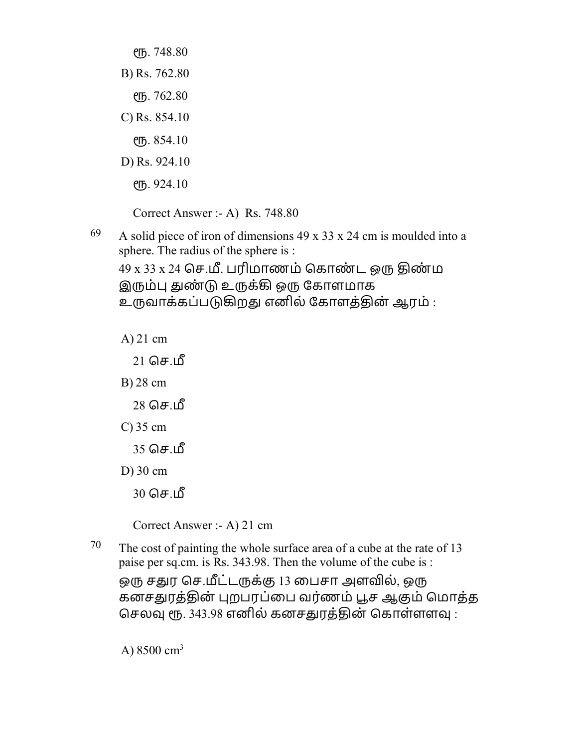еть. 748.80 B) Rs. 762.80  $P$ ГБ. 762.80 C) Rs. 854.10 . 854.10 D) Rs. 924.10  $\ell$ ГБ. 924.10

Correct Answer :- A) Rs. 748.80

69 A solid piece of iron of dimensions 49 x 33 x 24 cm is moulded into a sphere. The radius of the sphere is :

 $49 \times 33 \times 24$  செ.மீ. பரிமாணம் கொண்ட ஒரு திண்ம இரும்பு துண்டு உருக்கி ஒரு கோளமாக உருவாக்கப்படுகிறது எனில் கோளத்தின் ஆரம் :

A) 21 cm

 $21$  செ.மீ

B) 28 cm

 $28$  செ.மீ

- C) 35 cm
	- $35$  செ.பீ
- D) 30 cm
	- $30$  செ.மீ

Correct Answer :- A) 21 cm

<sup>70</sup> The cost of painting the whole surface area of a cube at the rate of 13 paise per sq.cm. is Rs. 343.98. Then the volume of the cube is : ஒரு சதுர செ.மீட்டருக்கு 13 பைசா அளவில், ஒரு கனசதுரத்தின் புறபரப்பை வர்ணம் பூச ஆகும் மொத்த செலவு ரூ. 343.98 எனில் கனசதுரத்தின் கொள்ளளவு :

A)  $8500 \text{ cm}^3$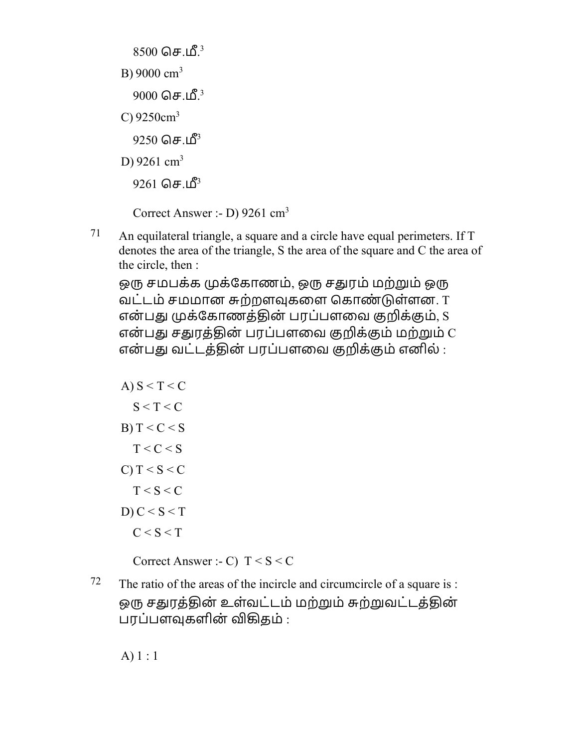$8500$  செ.மீ. $^3$ B) 9000  $cm<sup>3</sup>$  $9000$  செ.மீ. $^3$ C)  $9250 \text{cm}^3$  $9250$  செ.மீ $3$ D) 9261  $cm<sup>3</sup>$ 9261 செ.மீ<sup>3</sup> Correct Answer :- D) 9261 cm<sup>3</sup>

 $71$  An equilateral triangle, a square and a circle have equal perimeters. If T denotes the area of the triangle, S the area of the square and C the area of the circle, then :

ஒரு சமபக்க முக்கோணம், ஒரு சதுரம் மற்றும் ஒரு வட்டம் சமமான சுற்றளவுகளை கொண்டுள்ளன. T என்பது முக்கோணத்தின் பரப்பளவை குறிக்கும், S என்பது சதுரத்தின் பரப்பளவை குறிக்கும் மற்றும்  $\overline{C}$ என்பது வட்டத்தின் பரப்பளவை குறிக்கும் எனில் :

A) S < T < C S < T < C B) T < C < S T < C < S C) T < S < C T < S < C D) C < S < T C < S < T

Correct Answer :- C)  $T < S < C$ 

 $72$  The ratio of the areas of the incircle and circumcircle of a square is : ஒரு சதுரத்தின் உள்வட்டம் மற்றும் சுற்றுவட்டத்தின் பரப்பளவுகளின் விகிகம் :

A) 1 : 1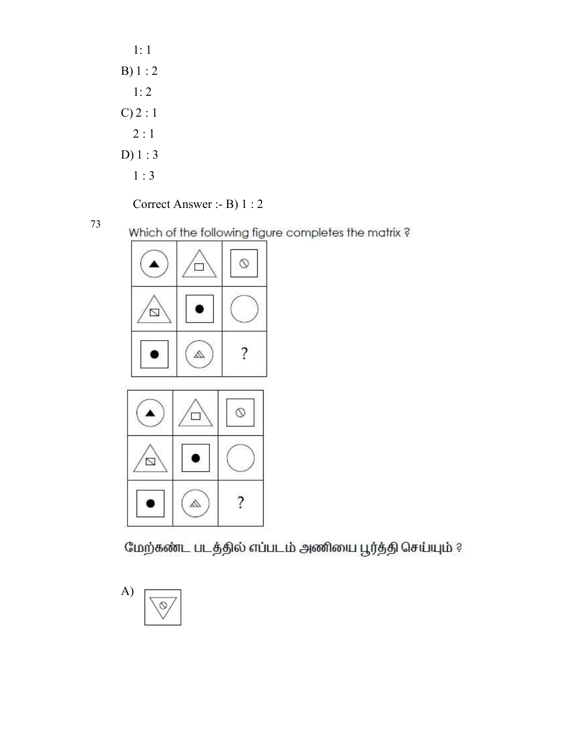| 1: 1        |  |
|-------------|--|
| B) 1 : 2    |  |
| 1:2         |  |
| $C$ ) 2 : 1 |  |
| 2:1         |  |
| $D$ ) 1 : 3 |  |
| 1:3         |  |

Correct Answer :- B) 1 : 2

73

Which of the following figure completes the matrix?





மேற்கண்ட படத்தில் எப்படம் அணியை பூர்த்தி செய்யும் ?

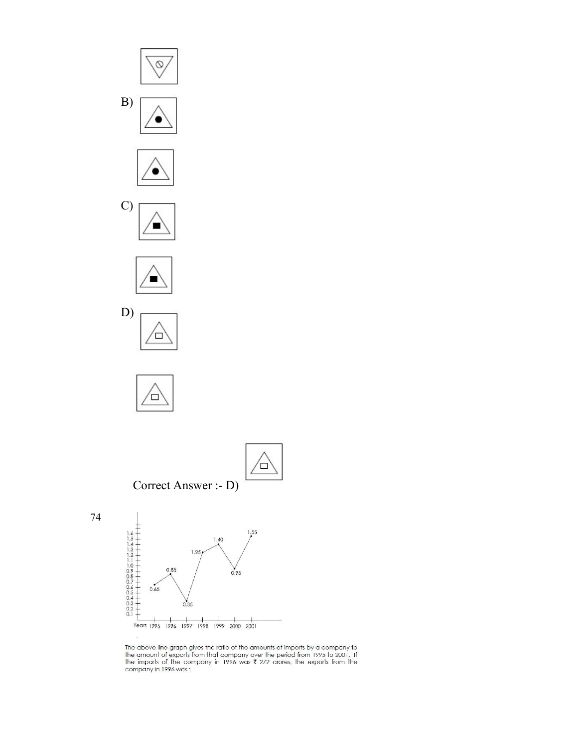













74



The above line-graph gives the ratio of the amounts of imports by a company to the amount of exports from that company over the period from 1995 to 2001. If the imports of the company in 1996 was  $\bar{\ell}$  272 crores, the e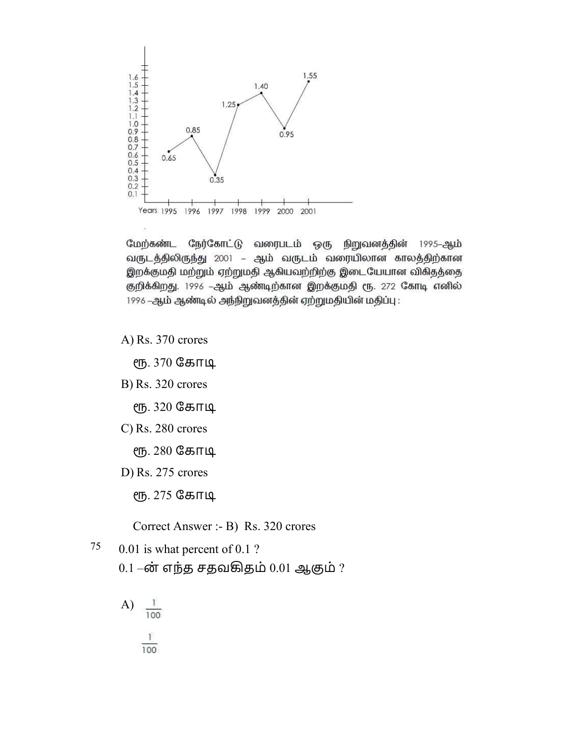

நேர்கோட்டு வரைபடம் ஒரு மேற்கண்ட நிறுவனத்தின் 1995–ஆ**ம்** வருடத்திலிருந்து 2001 – ஆம் வருடம் வரையிலான காலத்திற்கான இறக்குமதி மற்றும் ஏற்றுமதி ஆகியவற்றிற்கு இடையேயான விகிதத்தை குறிக்கிறது. 1996 -ஆம் ஆண்டிற்கான இறக்குமதி ரூ. 272 கோடி எனில் 1996 -ஆம் ஆண்டில் அந்நிறுவனத்தின் ஏற்றுமதியின் மதிப்பு:

A) Rs. 370 crores

. 370 ேகாூ

B) Rs. 320 crores

ரூ. 320 கோடி

C) Rs. 280 crores

ரூ. 280 கோடி

D) Rs. 275 crores

ரூ. 275 கோடி

Correct Answer :- B) Rs. 320 crores

- $75$  0.01 is what percent of 0.1 ?
	- $0.1 \dot{\sigma}$ ர் எந்த சதவகிதம்  $0.01$  ஆகும் ?
	- A)  $\frac{1}{100}$  $\frac{1}{100}$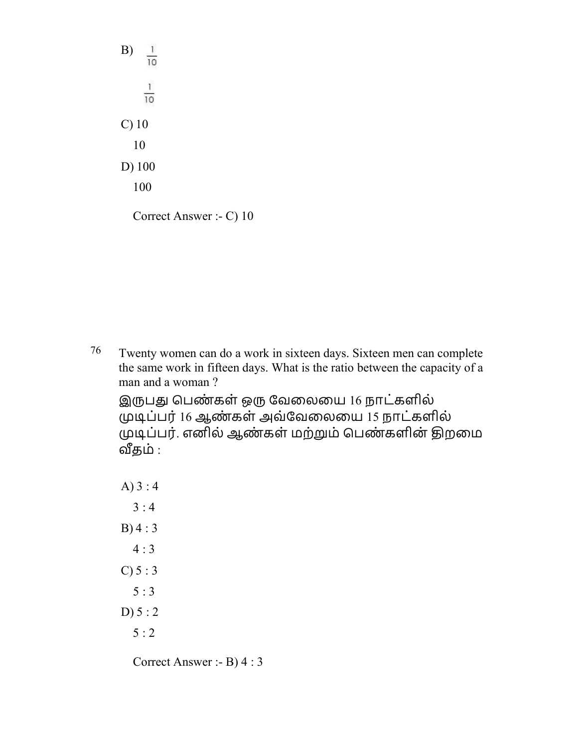B)  $\frac{1}{10}$  $\frac{1}{10}$ C) 10 10 D) 100 100 Correct Answer :- C) 10

76 Twenty women can do a work in sixteen days. Sixteen men can complete the same work in fifteen days. What is the ratio between the capacity of a man and a woman ?

இருபது பெண்கள் ஒரு வேலையை 16 நாட்களில் ூப்பர் 16 ஆண் கள் அவ்ேவைலைய 15 நாடக் ளில் முடிப்பர். எனில் ஆண்கள் மற்றும் பெண்களின் திறமை ௴தம் :

A) 3 : 4  $3:4$ B) 4 : 3  $4:3$  $C) 5 : 3$  $5 : 3$ D)  $5:2$ 5 : 2

Correct Answer :- B) 4 : 3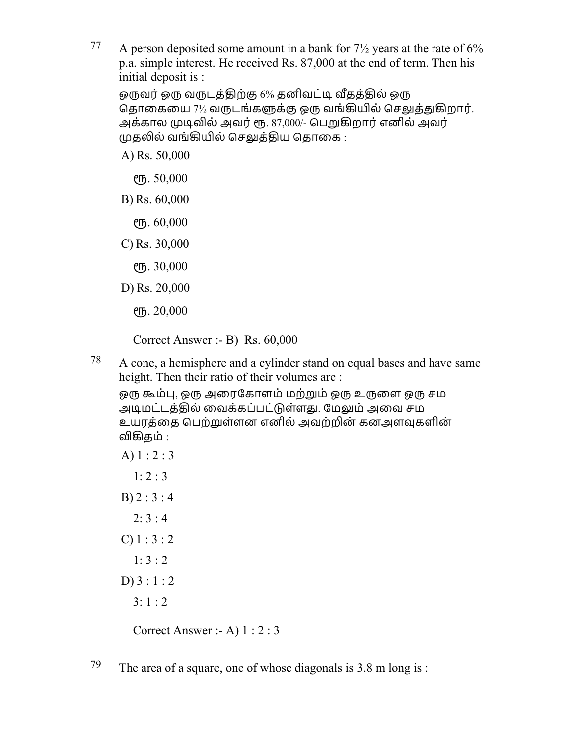77 A person deposited some amount in a bank for  $7\frac{1}{2}$  years at the rate of 6% p.a. simple interest. He received Rs. 87,000 at the end of term. Then his initial deposit is :

ஒருவர் ஒரு வருடத்திற்கு 6% தனிவட்டி வீதத்தில் ஒரு தொகையை 7½ வருடங்களுக்கு ஒரு வங்கியில் செலுத்துகிறார். அக்கால முடிவில் அவர் ரூ. 87,000/- பெறுகிறார் எனில் அவர் முதலில் வங்கியில் செலுத்திய தொகை :

A) Rs. 50,000

. 50,000

- B) Rs. 60,000
	- . 60,000
- C) Rs. 30,000
	- . 30,000
- D) Rs. 20,000

. 20,000

Correct Answer :- B) Rs. 60,000

<sup>78</sup> A cone, a hemisphere and a cylinder stand on equal bases and have same height. Then their ratio of their volumes are :

ஒரு கூம்பு, ஒரு அரைகோளம் மற்றும் ஒரு உருளை ஒரு சம அடிமட்டத்தில் வைக்கப்பட்டுள்ளது. மேலும் அவை சம உயரத்தை பெற்றுள்ளன எனில் அவற்றின் கனஅளவுகளின் விகிகம் :

A) 1 : 2 : 3  $1: 2: 3$  $B) 2 : 3 : 4$  $2: 3:4$ C)  $1:3:2$ 1: 3 : 2  $D$ ) 3 : 1 : 2 3: 1 : 2

Correct Answer :- A) 1 : 2 : 3

79 The area of a square, one of whose diagonals is  $3.8 \text{ m}$  long is :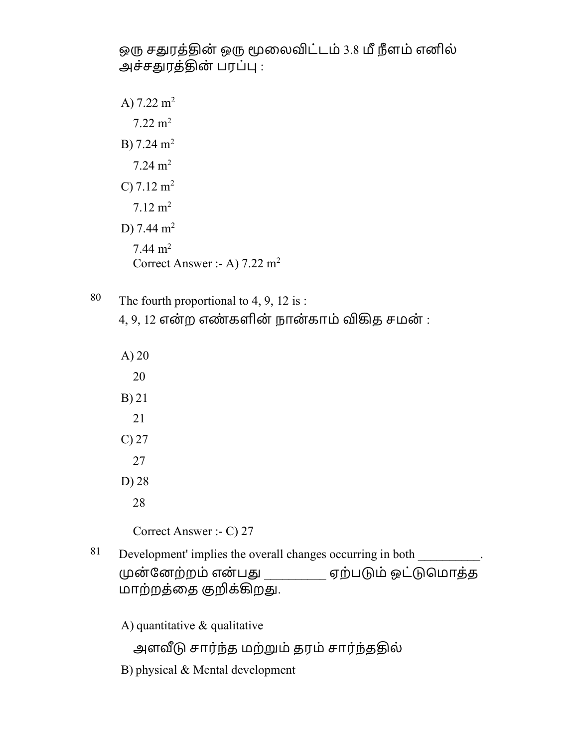ஒரு சதுரத்தின் ஒரு மூலைவிட்டம் 3.8 மீ நீளம் எனில் அச்சதுரத்தின் பரப்பு :

A)  $7.22 \text{ m}^2$  $7.22 \text{ m}^2$ B)  $7.24 \text{ m}^2$  $7.24 \text{ m}^2$ C)  $7.12 \text{ m}^2$  $7.12 \text{ m}^2$ D) 7.44  $m<sup>2</sup>$ 7.44  $m<sup>2</sup>$ Correct Answer :- A) 7.22 m<sup>2</sup>

- 80 The fourth proportional to 4, 9, 12 is :  $4, 9, 12$  என்ற எண்களின் நான்காம் விகித சமன் :
- A) 20 20 B) 21 21 C) 27 27 D) 28 28 Correct Answer :- C) 27 81 Development' implies the overall changes occurring in both  $\blacksquare$ ன் ேனற்றம் என் பௌ \_\_\_\_\_\_\_\_\_\_ ஏற்பம் ஒட்ெமாதத் மாற்றத்தை குறிக்கிறது.

A) quantitative & qualitative

அளவீடு சார்ந்த மற்றும் தரம் சார்ந்ததில்

B) physical & Mental development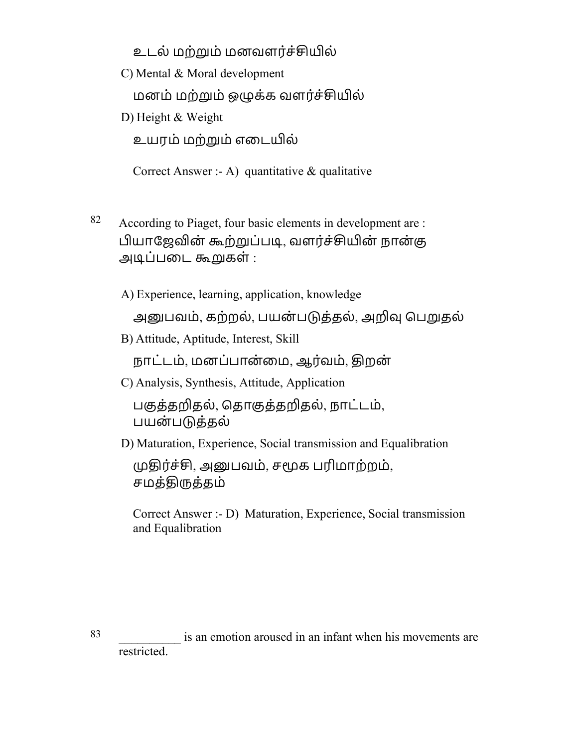உடல் மற்றும் மனவளர்ச்சியில்

C) Mental & Moral development

மனம் மற்றும் ஒழுக்க வளர்ச்சியில்

D) Height & Weight

உயரம் மற்றும் எடையில்

Correct Answer :- A) quantitative  $\&$  qualitative

82 According to Piaget, four basic elements in development are : பியாஜேவின் கூற்றுப்படி, வளர்ச்சியின் நான்கு அூப்பைட ஷகள் :

A) Experience, learning, application, knowledge

அனுபவம், கற்றல், பயன்படுத்தல், அறிவு பெறுதல்

B) Attitude, Aptitude, Interest, Skill

நாட்டம், மனப்பான்மை, ஆர்வம், திறன்

C) Analysis, Synthesis, Attitude, Application

பகுத்தறிதல், தொகுத்தறிதல், நாட்டம், பயன்படுத்தல்

D) Maturation, Experience, Social transmission and Equalibration

முதிர்ச்சி, அனுபவம், சமூக பரிமாற்றம், சமத்திருத்தம்

Correct Answer :- D) Maturation, Experience, Social transmission and Equalibration

83 \_\_\_\_\_\_\_\_\_\_ is an emotion aroused in an infant when his movements are restricted.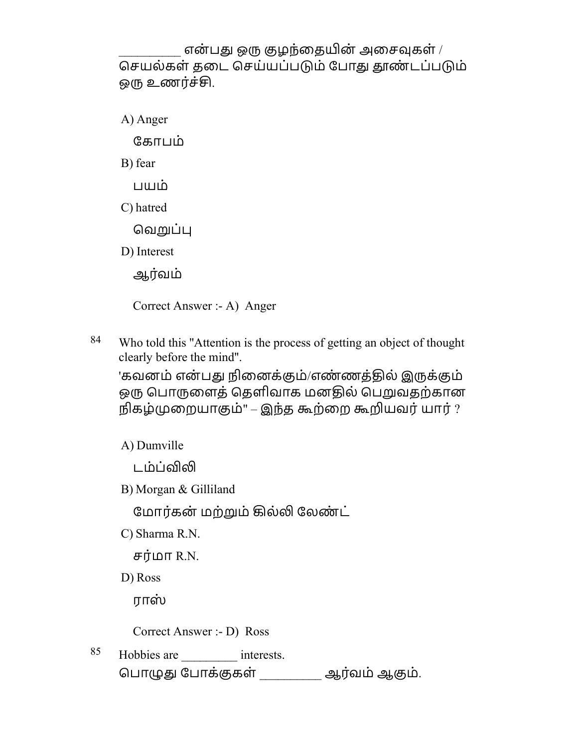என்பது ஒரு குழந்தையின் அசைவுகள் / செயல்கள் தடை செய்யப்படும் போது தூண்டப்படும் ஒரு உணர்ச்சி.

A) Anger

ேகாபம்

B) fear

பயம்

C) hatred

வெறுப்பு

D) Interest

ஆர்வம்

Correct Answer :- A) Anger

84 Who told this "Attention is the process of getting an object of thought clearly before the mind''.

'கவனம் என்பது நினைக்கும்/எண்ணத்தில் இருக்கும் ஒரு பொருளைத் தெளிவாக மனதில் பெறுவதற்கான நிகழ்ைறயாஶம்" – இந்த ஷற்ைற ஷயவர்யார் ?

A) Dumville

டம்ப்விலி

B) Morgan & Gilliland

மோர்கன் மற்றும் கில்லி லேண்ட்

C) Sharma R.N.

சர்மா  $R.N.$ 

D) Ross

ராஸ்

Correct Answer :- D) Ross

85 Hobbies are interests. ெபா௱ௌ ேபாக்ஶகள் \_\_\_\_\_\_\_\_\_\_ ஆரவ் ம்ஆஶம்.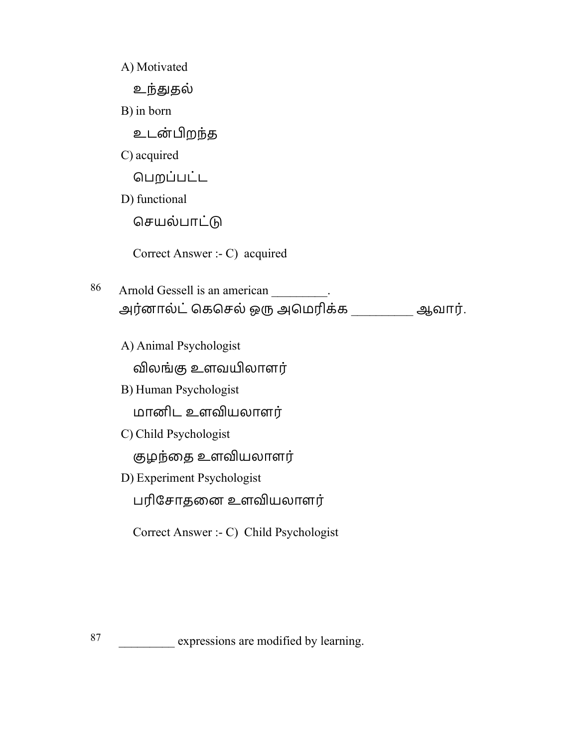A) Motivated உந்துதல் B) in born உடன்றந்த C) acquired ெபறப்பட்ட D) functional செயல்பாட்டு Correct Answer :- C) acquired 86 Arnold Gessell is an american \_\_\_\_\_\_\_. அர்னால்ட் கெசெல் ஒரு அமெரிக்க \_\_\_\_\_\_\_\_\_ ஆவார். A) Animal Psychologist விலங்கு உளவயிலாளர் B) Human Psychologist மானிட உளவியலாளர் C) Child Psychologist குழந்தை உளவியலாளர் D) Experiment Psychologist பரிசோதனை உளவியலாளர் Correct Answer :- C) Child Psychologist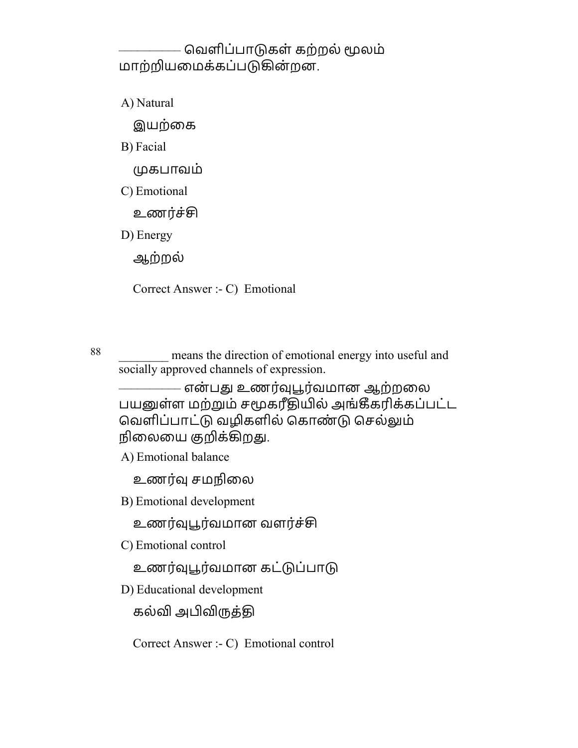## – வெளிப்பாடுகள் கற்றல் மூலம் மாற்றியமைக்கப்படுகின்றன.

A) Natural

இயற்கை

B) Facial

கபாவம்

C) Emotional

உணர்ச்சி

D) Energy

ஆற்றல்

Correct Answer :- C) Emotional

88 means the direction of emotional energy into useful and socially approved channels of expression.

–––––––––– என் பௌ உணர்௵ௗரவ் மான ஆற்றைல பயனுள்ள மற்றும் சமூகரீதியில் அங்கீகரிக்கப்பட்ட வெளிப்பாட்டு வழிகளில் கொண்டு செல்லும் நிலையை குறிக்கிறது.

A) Emotional balance

உணர்வு சமநிலை

B) Emotional development

உணர்வுபூர்வமான வளர்ச்சி

C) Emotional control

உணர்வுபூர்வமான கட்டுப்பாடு

D) Educational development

கல்வி அபிவிருத்தி

Correct Answer :- C) Emotional control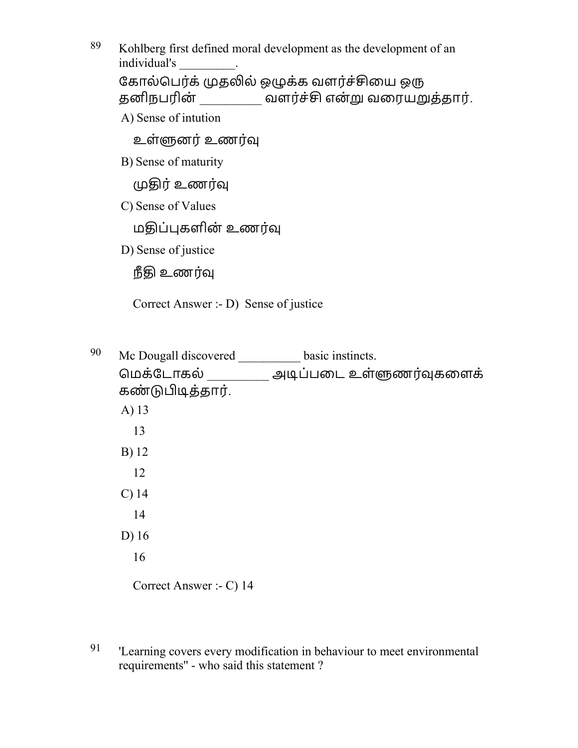89 Kohlberg first defined moral development as the development of an individual's \_\_\_\_\_\_\_\_\_. கோல்பெர்க் முதலில் ஒழுக்க வளர்ச்சியை ஒரு தனிநபரின் \_\_\_\_\_\_\_\_\_\_ வளர்ச்சி என்று வரையறுத்தார்.

A) Sense of intution

உள்௬னர்உணர்௵

B) Sense of maturity

ொர்உணர்௵

C) Sense of Values

மதிப்புகளின் உணர்வு

D) Sense of justice

நீதி உணர்வு

Correct Answer :- D) Sense of justice

90 Mc Dougall discovered \_\_\_\_\_\_\_\_\_\_ basic instincts. மெக்டோகல் \_\_\_\_\_\_\_\_\_\_ அடிப்படை உள்ளுணர்வுகளைக் கண்டுபிடித்தார். A) 13 13 B) 12 12 C) 14 14 D) 16 16

Correct Answer :- C) 14

91 'Learning covers every modification in behaviour to meet environmental requirements'' - who said this statement ?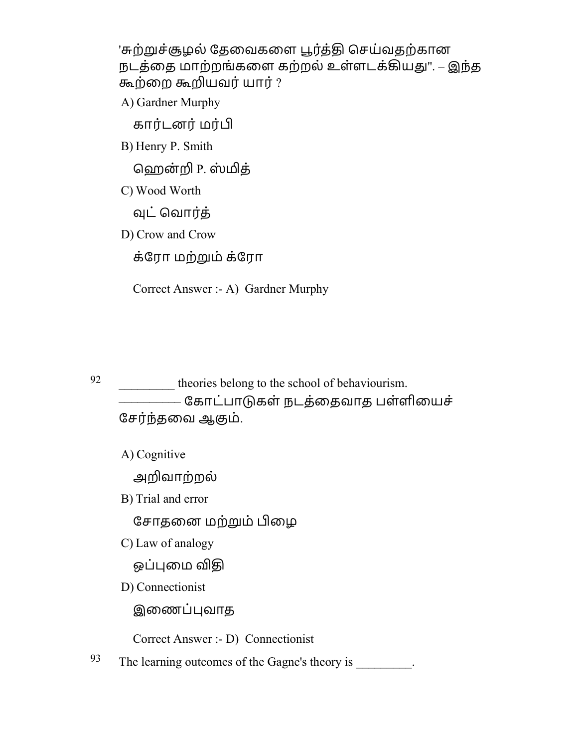'சுற்றுச்சூழல் தேவைகளை பூர்த்தி செய்வதற்கான நடத்தை மாற்றங்களை கற்றல் உள்ளடக்கியது". – இந்த ஷற்ைற ஷயவர்யார் ?

A) Gardner Murphy

கார்டனர் மர்பி

B) Henry P. Smith

ஹென்றி P. ஸ்மித்

C) Wood Worth

வுட் வொர்க்

D) Crow and Crow

க்ேரா மற்ம் க்ேரா

Correct Answer :- A) Gardner Murphy

92 theories belong to the school of behaviourism. –––––––––– ேகாடப் ாகள் நடதை் தவாத பள்ளிையச் சேர்ந்தவை ஆகும்.

A) Cognitive

அவாற்றல்

B) Trial and error

சோதனை மற்றும் பிழை

C) Law of analogy

ஒப்புமை விதி

D) Connectionist

இைணப்வாத

Correct Answer :- D) Connectionist

93 The learning outcomes of the Gagne's theory is  $\cdot$ .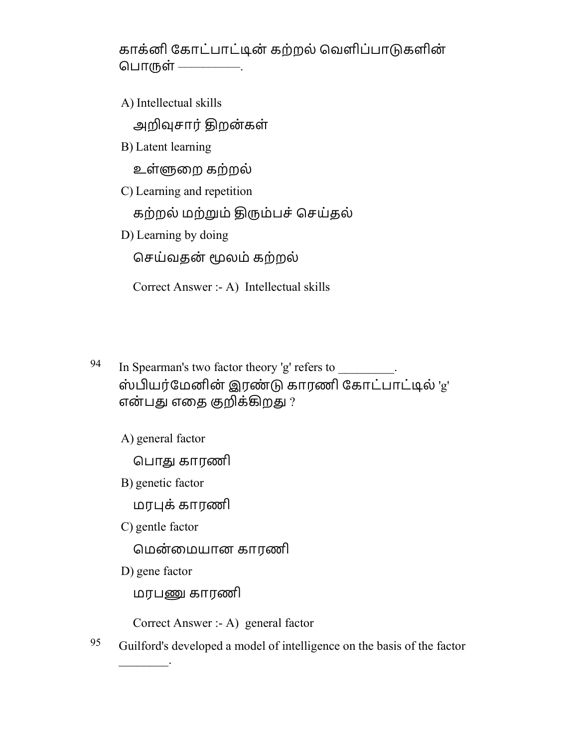காக்னி கோட்பாட்டின் கற்றல் வெளிப்பாடுகளின் பொருள் ––––––––––––

A) Intellectual skills

அறிவுசார் திறன்கள்

B) Latent learning

உள்௬ைற கற்றல்

C) Learning and repetition

கற்றல் மற்றும் திரும்பச் செய்தல்

D) Learning by doing

ெசய்வதன் லம் கற்றல்

Correct Answer :- A) Intellectual skills

- 94 In Spearman's two factor theory 'g' refers to  $\cdot$ . ஸ்பியர்மேனின் இரண்டு காரணி கோட்பாட்டில் 'g' என்பது எதை குறிக்கிறது ?
	- A) general factor

பொது காரணி

B) genetic factor

மரக்காரணி

C) gentle factor

ெமன் ைமயான காரணி

D) gene factor

 $\frac{1}{2}$ 

மரபேகாரணி

Correct Answer :- A) general factor

 $95$  Guilford's developed a model of intelligence on the basis of the factor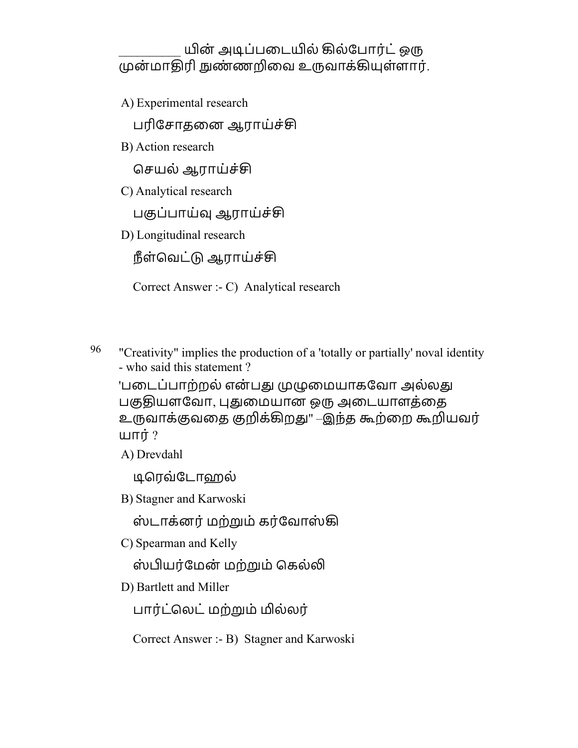யின் அடிப்படையில் கில்போர்ட் ஒரு முன்மாதிரி நுண்ணறிவை உருவாக்கியுள்ளார்.

A) Experimental research

பரிசோதனை ஆராய்ச்சி

B) Action research

செயல் ஆராய்ச்சி

C) Analytical research

பகுப்பாய்வ ஆராய்ச்சி

D) Longitudinal research

நீள்வெட்டு ஆராய்ச்சி

Correct Answer :- C) Analytical research

<sup>96</sup> "Creativity" implies the production of a 'totally or partially' noval identity - who said this statement ?

'படைப்பாற்றல் என்பது முழுமையாகவோ அல்லது பகுதியளவோ, புதுமையான ஒரு அடையாளத்தை உருவாக்குவதை குறிக்கிறது" –இந்த கூற்றை கூறியவர் யார்  $?$ 

A) Drevdahl

டிரெவ்டோஹல்

B) Stagner and Karwoski

ஸ்டாக்னர் மற்றும் கர்வோஸ்கி

C) Spearman and Kelly

ஸ்பியர்மேன் மற்றும் கெல்லி

D) Bartlett and Miller

பார்ட்லெட் மற்றும் மில்லர்

Correct Answer :- B) Stagner and Karwoski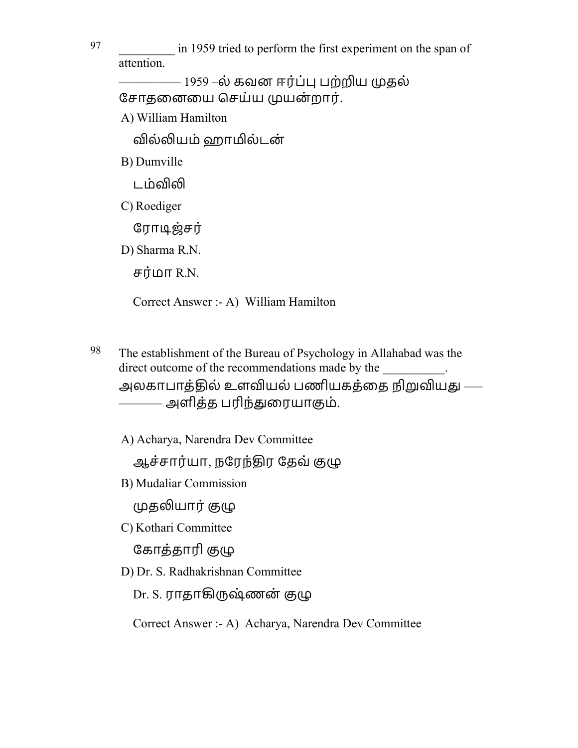97 \_\_\_\_\_\_\_\_\_ in 1959 tried to perform the first experiment on the span of attention.

– 1959 –ல் கவன ஈர்ப்பு பற்றிய முதல் சோதனையை செய்ய முயன்றார்.

A) William Hamilton

வில்லியம் ஹாமில்டன்

B) Dumville

டம்விலி

C) Roediger

ரோடிஜ்சர்

D) Sharma R.N.

சர்மா  $R.N.$ 

Correct Answer :- A) William Hamilton

98 The establishment of the Bureau of Psychology in Allahabad was the direct outcome of the recommendations made by the அலகாபாக்கில் உளவியல் பணியகக்கை நிறுவியது —– ––––––– அளிதத் பரிந்ௌைரயாஶம்.

A) Acharya, Narendra Dev Committee

ஆச்சார்யா, நரேந்திர தேவ் குழு

B) Mudaliar Commission

முதலியார் குழு

C) Kothari Committee

கோத்தாரி குழு

D) Dr. S. Radhakrishnan Committee

Dr. S. ராதாகிருஷ்ணன் குழு

Correct Answer :- A) Acharya, Narendra Dev Committee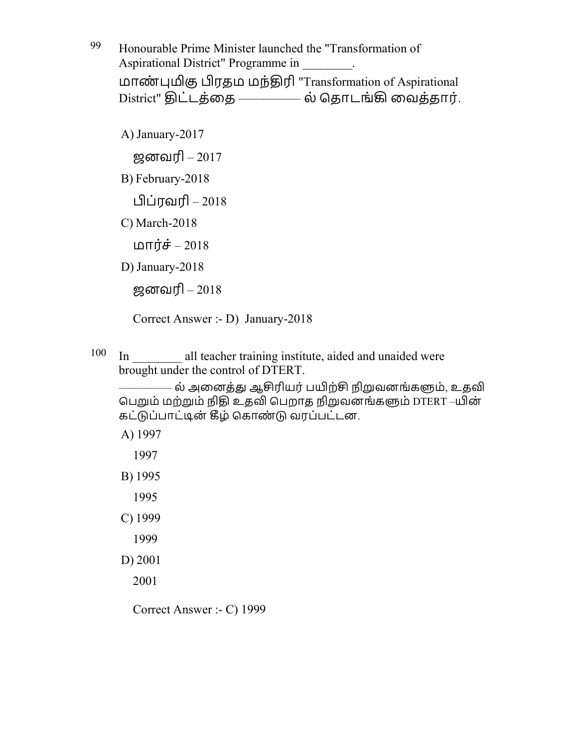99 Honourable Prime Minister launched the "Transformation of Aspirational District" Programme in \_\_\_\_\_\_\_\_. மாண் ஶ ரதம மந்ொரி "Transformation of Aspirational District" திட்டத்தை –––––––– ல் தொடங்கி வைத்தார்.

A) January-2017 ஜனவரி –  $2017$ B) February-2018 ப்ரவரி – 2018 C) March-2018 மார்ச் – 2018 D) January-2018

ஜனவரி $-2018$ 

Correct Answer :- D) January-2018

 $100$  In all teacher training institute, aided and unaided were brought under the control of DTERT.

– ல் அனைத்து ஆசிரியர் பயிற்சி நிறுவனங்களும், உதவி பெறும் மற்றும் நிதி உதவி பெறாத நிறுவனங்களும் DTERT –யின் கட்டுப்பாட்டின் கீழ் கொண்டு வரப்பட்டன.

A) 1997

1997

- B) 1995
	- 1995
- C) 1999
	- 1999
- D) 2001

2001

Correct Answer :- C) 1999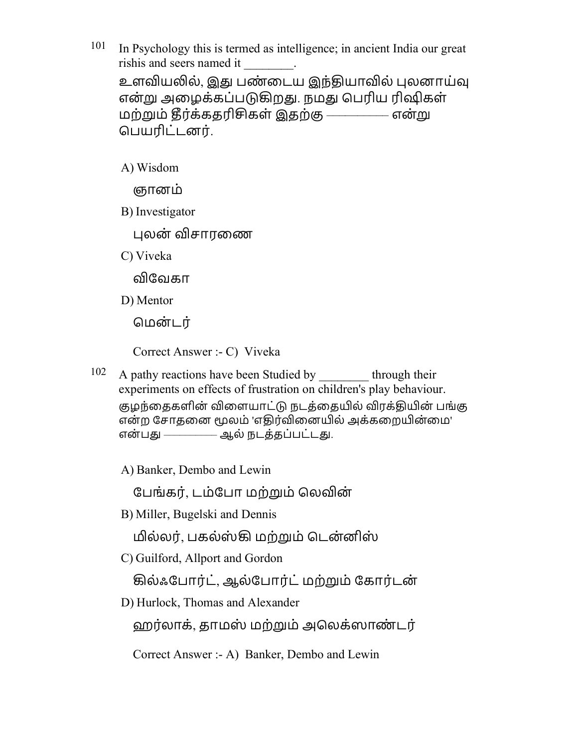- $101$  In Psychology this is termed as intelligence; in ancient India our great rishis and seers named it \_\_\_\_\_\_\_\_. உளவியலில், இது பண்டைய இந்தியாவில் புலனாய்வு என்று அழைக்கப்படுகிறது. நமது பெரிய ரிஷிகள் மற்றும் தீர்க்கதரிசிகள் இதற்கு –––––––––– என்று பெயரிட்டனர்.
	- A) Wisdom
		- ஞானம்
	- B) Investigator
		- புலன் விசாரணை
	- C) Viveka

விவேகா

D) Mentor

மென்டர்

Correct Answer :- C) Viveka

 $102$  A pathy reactions have been Studied by through their experiments on effects of frustration on children's play behaviour. குழந்தைகளின் விளையாட்டு நடத்தையில் விரக்தியின் பங்கு என்ற சோதனை மூலம் 'எதிர்வினையில் அக்கறையின்மை' என்பது ————— ஆல் நடத்தப்பட்டது.

A) Banker, Dembo and Lewin

பேங்கர், டம்போ மற்றும் லெவின்

B) Miller, Bugelski and Dennis

மில்லர், பகல்ஸ்கி மற்றும் டென்னிஸ்

C) Guilford, Allport and Gordon

கில்ஃபோர்ட், ஆல்போர்ட் மற்றும் கோர்டன்

D) Hurlock, Thomas and Alexander

ஹர்லாக், தாமஸ் மற்றும் அலெக்ஸாண்டர்

Correct Answer :- A) Banker, Dembo and Lewin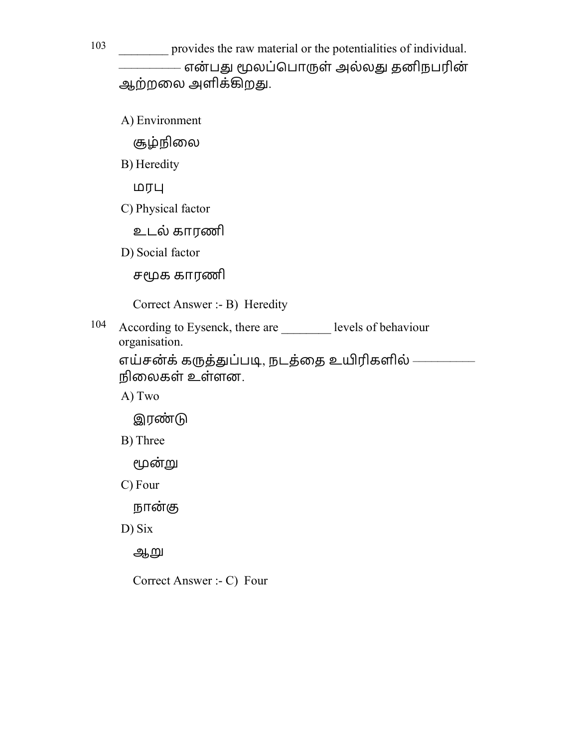103 help provides the raw material or the potentialities of individual. –––––––––– என் பௌ லப்ெபாள் அல்லௌ தனிநபரின் ஆற்றலை அளிக்கிறது.

A) Environment

சூழ்நிலை

B) Heredity

மர

C) Physical factor

உடல் காரணி

D) Social factor

சமூக காரணி

Correct Answer :- B) Heredity

104 According to Eysenck, there are levels of behaviour organisation.

எய்சன்க் கருத்துப்படி, நடத்தை உயிரிகளில் ———– நிைலகள் உள்ளன.

A) Two

**இரண்டு** 

B) Three

மூன்று

C) Four

நான்கு

D) Six

ஆறு

Correct Answer :- C) Four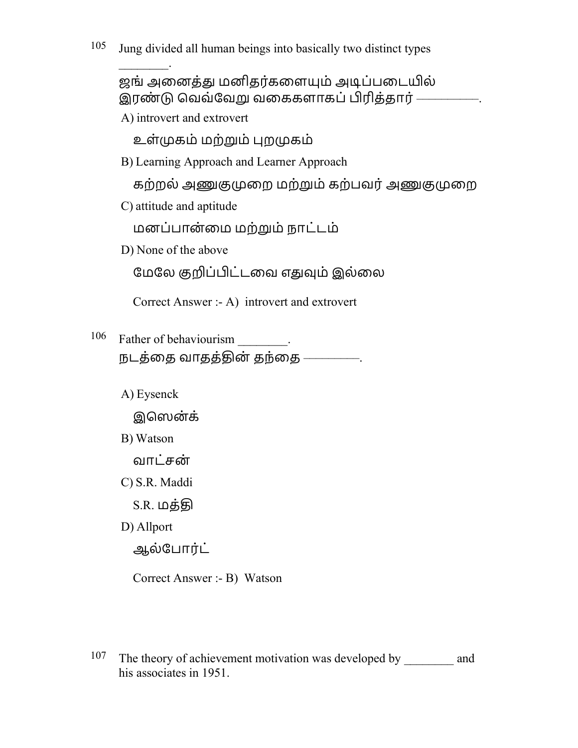$\mathcal{L}$ ஜங் அனைத்து மனிதர்களையும் அடிப்படையில் இரண்டு வெவ்வேறு வகைகளாகப் பிரித்தார்<sup>.</sup> A) introvert and extrovert உள்கம் மற்ம் றகம் B) Learning Approach and Learner Approach கற்றல் அணுகுமுறை மற்றும் கற்பவர் அணுகுமுறை C) attitude and aptitude மனப்பான்மை மற்றும் நாட்டம் D) None of the above மேலே குறிப்பிட்டவை எதுவும் இல்லை Correct Answer :- A) introvert and extrovert 106 Father of behaviourism . நடத்தை வாதத்தின் தந்தை ————. A) Eysenck இெஸன்க் B) Watson வாட்சன் C) S.R. Maddi S.R. மத்தி D) Allport ஆல்போர்ட்

Correct Answer :- B) Watson

<sup>107</sup> The theory of achievement motivation was developed by and his associates in 1951.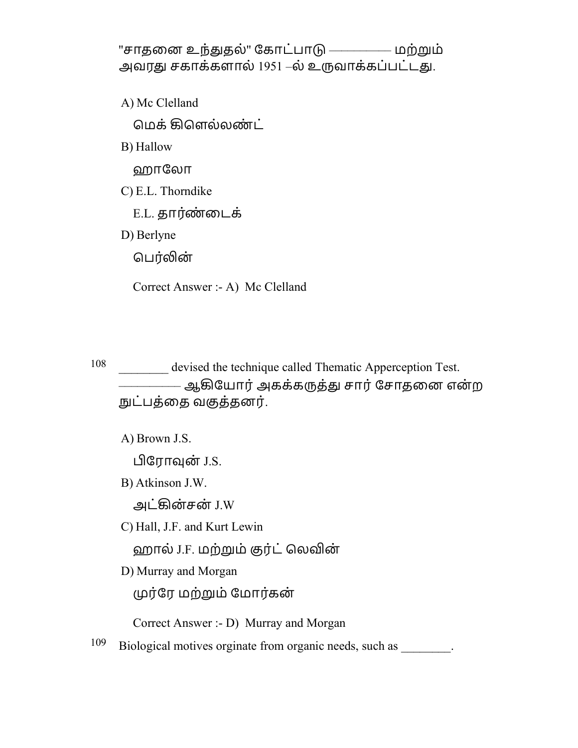"சாதனை உந்துதல்" கோட்பாடு ————— மற்றும் அவரது சகாக்களால் 1951 –ல் உருவாக்கப்பட்டது.

A) Mc Clelland

மெக் கிளெல்லண்ட்

B) Hallow

ஹாேலா

C) E.L. Thorndike

E.L. தார்ண்டைக்

D) Berlyne

பெர்லின்

Correct Answer :- A) Mc Clelland

108 devised the technique called Thematic Apperception Test. –––––––––– ஆழேயார்அகக்கத்ௌ சார்ேசாதைன என் ற நுட்பத்தை வகுத்தனர்.

A) Brown J.S.

பிரோவுன் J.S.

B) Atkinson J.W.

அட்ழன்சன் J.W

C) Hall, J.F. and Kurt Lewin

ஹால் J.F. மற்றும் குர்ட் லெவின்

D) Murray and Morgan

முர்ரே மற்றும் மோர்கன்

Correct Answer :- D) Murray and Morgan

 $109$  Biological motives orginate from organic needs, such as  $\qquad \qquad$ .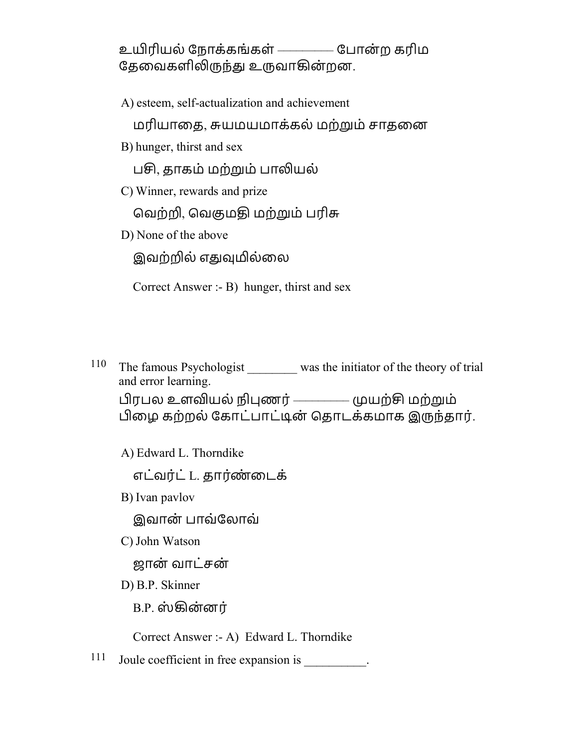உயிரியல் நோக்கங்கள் ————— போன்ற கரிம தேவைகளிலிருந்து உருவாகின்றன.

A) esteem, self-actualization and achievement

மரியாதை, சுயமயமாக்கல் மற்றும் சாதனை

B) hunger, thirst and sex

பசி, தாகம் மற்றும் பாலியல்

C) Winner, rewards and prize

வெற்றி, வெகுமதி மற்றும் பரிசு

D) None of the above

இவற்றில் எதுவுமில்லை

Correct Answer :- B) hunger, thirst and sex

<sup>110</sup> The famous Psychologist was the initiator of the theory of trial and error learning. பிரபல உளவியல் நிபுணர் ————— முயற்சி மற்றும் பிழை கற்றல் கோட்பாட்டின் தொடக்கமாக இருந்தார்.

A) Edward L. Thorndike

எட்வர்ட் L. தார்ண்டைக்

B) Ivan pavlov

இவான் பாவ்ேலாவ்

C) John Watson

ஜான் வாட்சன்

D) B.P. Skinner

B.P. ஸ் ழன்னர்

Correct Answer :- A) Edward L. Thorndike

111 Joule coefficient in free expansion is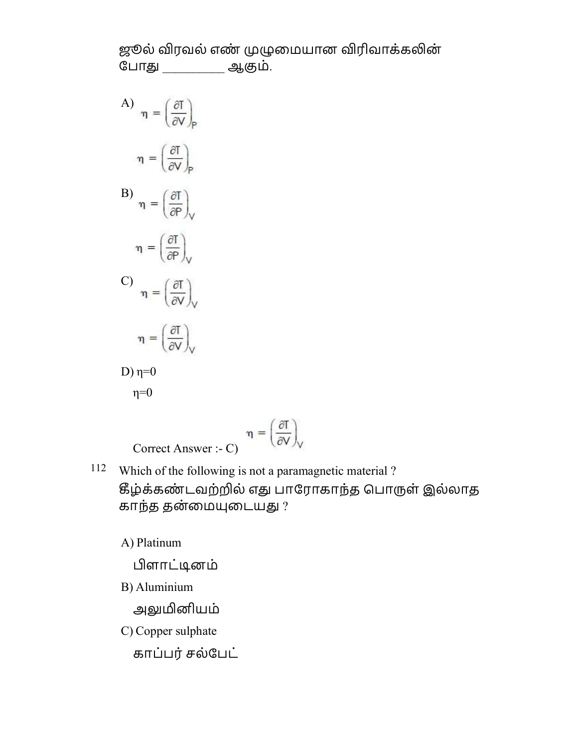ஜூல் விரவல் எண் முழுமையான விரிவாக்கலின் போது ஆகும்.

A)  $\eta = \left(\frac{\partial I}{\partial V}\right)_P$  $\eta = \left(\frac{\partial I}{\partial V}\right)_{P}$ B)  $\eta = \left(\frac{\partial I}{\partial P}\right)_V$  $\eta = \left(\frac{\partial I}{\partial P}\right)_{V}$ C)  $\eta = \left(\frac{\partial I}{\partial V}\right)_V$  $\eta = \left(\frac{\partial I}{\partial V}\right)_V$ D)  $η=0$  $\eta=0$ 

$$
\eta = \begin{pmatrix} \frac{\partial T}{\partial V} \\ \frac{\partial T}{\partial V} \end{pmatrix}
$$

112 Which of the following is not a paramagnetic material ? கீழ்க்கண்டவற்றில் எது பாரோகாந்த பொருள் இல்லாத காந்த தன்மையுடையது ?

A) Platinum

ளாட்ூனம்

B) Aluminium

அலுமினியம்

C) Copper sulphate

காப்பர்சல்ேபட்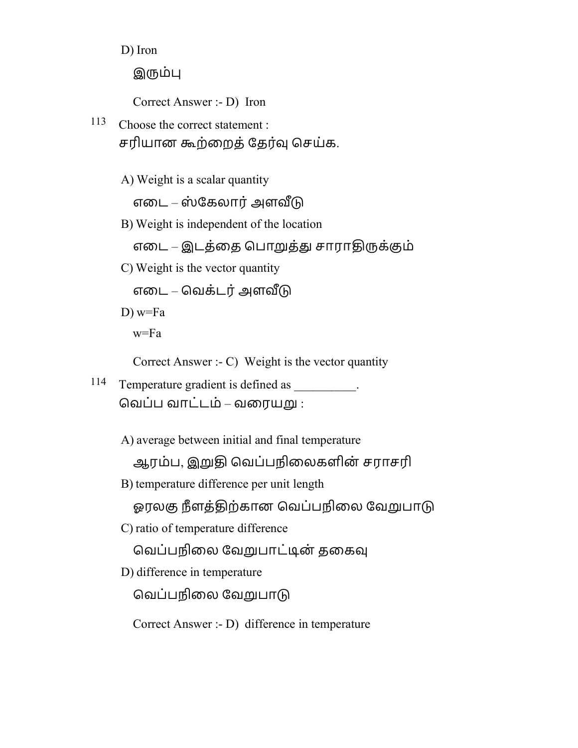D) Iron

இரும்பு

Correct Answer :- D) Iron

- 113 Choose the correct statement : சரியான கூற்றைத் தேர்வு செய்க.
	- A) Weight is a scalar quantity

எடை – ஸ்கேலார் அளவீடு

B) Weight is independent of the location

எடை – இடத்தை பொறுத்து சாராதிருக்கும்

C) Weight is the vector quantity

எடை – வெக்டர் அளவீடு

 $D)$  w=Fa w=Fa

Correct Answer :- C) Weight is the vector quantity

114 Temperature gradient is defined as  $\blacksquare$ வெப்ப வாட்டம் – வரையறு :

A) average between initial and final temperature

ஆரம்ப, இறுதி வெப்பநிலைகளின் சராசரி

B) temperature difference per unit length

ஓரலகு நீளத்திற்கான வெப்பநிலை வேறுபாடு

C) ratio of temperature difference

வெப்பநிலை வேறுபாட்டின் தகைவு

D) difference in temperature

வெப்பநிலை வேறுபாடு

Correct Answer :- D) difference in temperature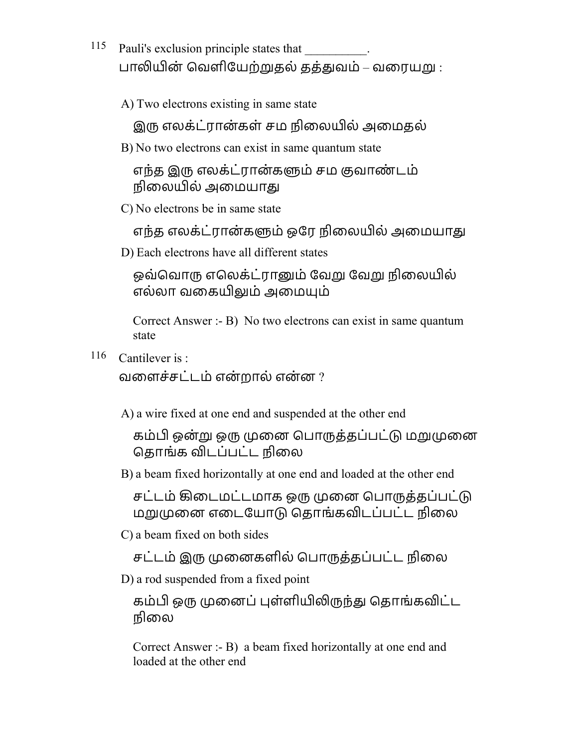- 115 Pauli's exclusion principle states that பாலியின் வெளியேற்றுதல் தத்துவம் – வரையறு :
	- A) Two electrons existing in same state

இரு எலக்ட்ரான்கள் சம நிலையில் அமைகல்

B) No two electrons can exist in same quantum state

எந்த இரு எலக்ட்ரான்களும் சம குவாண்டம் நிலையில் அமையாது

C) No electrons be in same state

எந்த எலக்ட்ரான்களும் ஒரே நிலையில் அமையாது

D) Each electrons have all different states

ஒவ்வொரு எலெக்ட்ரானும் வேறு வேறு நிலையில் எல்லா வகையிலும் அமையும்

Correct Answer :- B) No two electrons can exist in same quantum state

116 Cantilever is :

வளைச்சட்டம் என்றால் என்ன  $?$ 

A) a wire fixed at one end and suspended at the other end

கம்பி ஒன்று ஒரு முனை பொருத்தப்பட்டு மறுமுனை கொங்க விடப்பட்ட நிலை

B) a beam fixed horizontally at one end and loaded at the other end

சட்டம் கிடைமட்டமாக ஒரு முனை பொருத்தப்பட்டு மறுமுனை எடையோடு தொங்கவிடப்பட்ட நிலை

C) a beam fixed on both sides

சட்டம் இரு முனைகளில் பொருத்தப்பட்ட நிலை

D) a rod suspended from a fixed point

கம்பி ஒரு முனைப் புள்ளியிலிருந்து தொங்கவிட்ட நிைல

Correct Answer :- B) a beam fixed horizontally at one end and loaded at the other end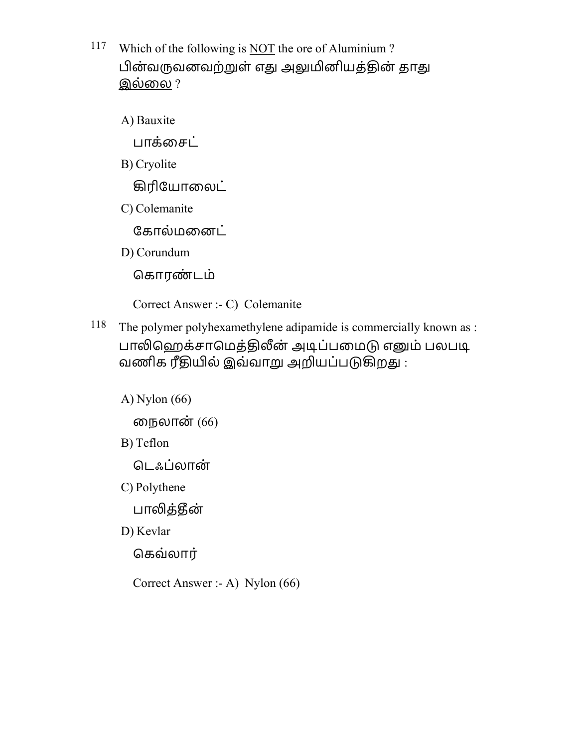117 Which of the following is NOT the ore of Aluminium ? பின்வருவனவற்றுள் எது அலுமினியத்தின் தாது இல்லை ?

A) Bauxite

பாக்சைட்

B) Cryolite

கிரியோலைட்

C) Colemanite

கோல்மனைட்

D) Corundum

கொரண்டம்

Correct Answer :- C) Colemanite

<sup>118</sup> The polymer polyhexamethylene adipamide is commercially known as : பாலிஹெக்சாமெத்திலீன் அடிப்பமைடு எனும் பலபடி வணிக ரீதியில் இவ்வாறு அறியப்படுகிறது :

A) Nylon (66)

ைநலான் (66)

B) Teflon

டெஃப்லான்

C) Polythene

பாலித்தீன்

D) Kevlar

ெகவ்லார்

Correct Answer :- A) Nylon (66)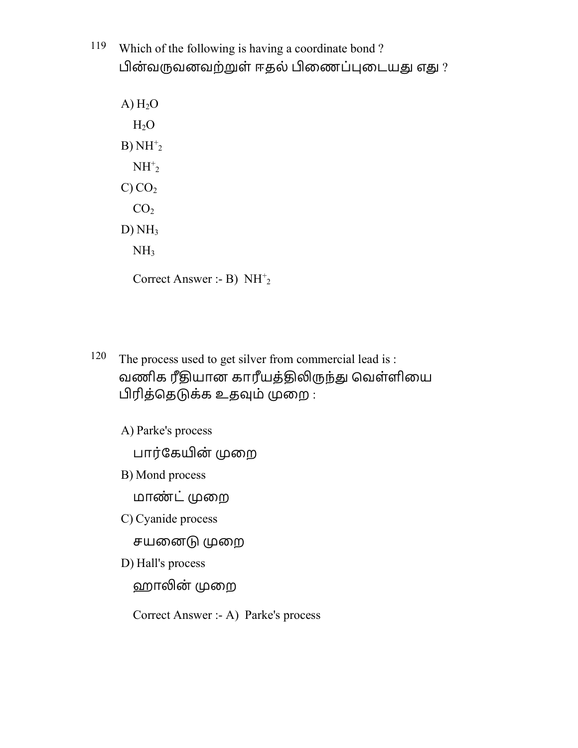119 Which of the following is having a coordinate bond ? பின்வருவனவற்றுள் ஈதல் பிணைப்புடையது எது ?

 $A) H<sub>2</sub>O$  $H<sub>2</sub>O$  $B) NH<sup>+</sup><sub>2</sub>$  $NH<sup>+</sup><sub>2</sub>$  $C) CO<sub>2</sub>$  $CO<sub>2</sub>$  $D) NH<sub>3</sub>$  $NH<sub>3</sub>$ 

Correct Answer :- B)  $NH<sup>+</sup><sub>2</sub>$ 

- 120 The process used to get silver from commercial lead is : வணிக ரீதியான காரீயத்திலிருந்து வெள்ளியை பிரித்தெடுக்க உதவும் முறை :
	- A) Parke's process

பார்கேயின் முறை

B) Mond process

மாண்ட் முறை

C) Cyanide process

சயனைடு முறை

D) Hall's process

ஹாலின் முறை

Correct Answer :- A) Parke's process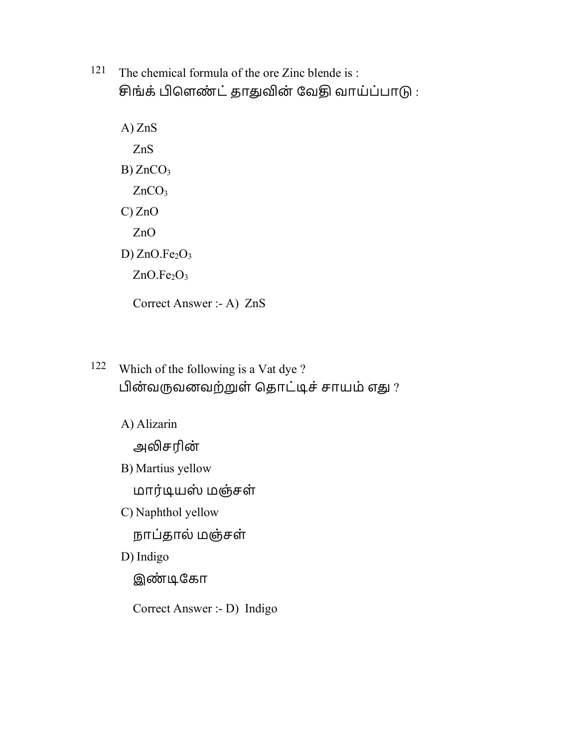- 121 The chemical formula of the ore Zinc blende is : சிங்க் பிளெண்ட் தாதுவின் வேதி வாய்ப்பாடு:
	- A) ZnS ZnS  $B)$  ZnCO<sub>3</sub>  $ZnCO<sub>3</sub>$ C) ZnO ZnO D)  $ZnO.Fe<sub>2</sub>O<sub>3</sub>$  $ZnO.Fe<sub>2</sub>O<sub>3</sub>$

Correct Answer :- A) ZnS

122 Which of the following is a Vat dye ? பின்வருவனவற்றுள் தொட்டிச் சாயம் எது ?

A) Alizarin

அலிசரின்

B) Martius yellow

மார்ூயஸ் மஞ்சள்

C) Naphthol yellow

நாப்தால் மஞ்சள்

D) Indigo

இண் ூேகா

Correct Answer :- D) Indigo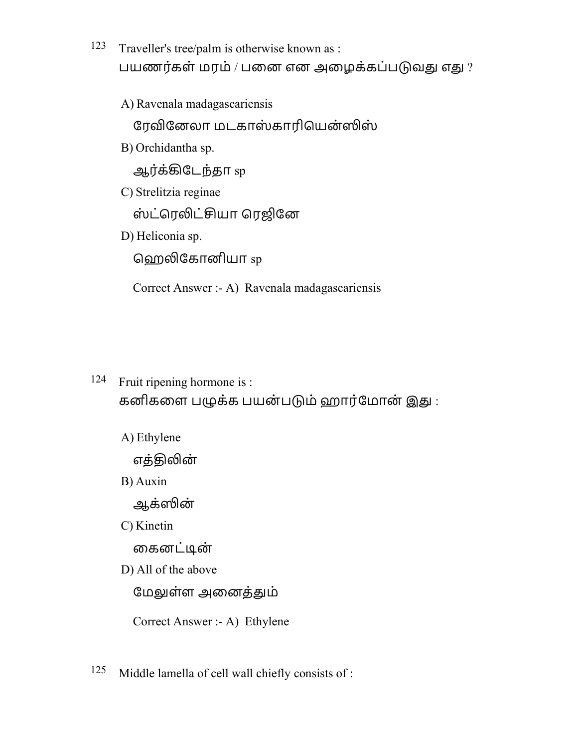123 Traveller's tree/palm is otherwise known as : பயணர்கள் மரம் / பனை என அழைக்கப்படுவது எது ?

A) Ravenala madagascariensis

ரேவினேலா மடகாஸ்காரியென்ஸிஸ்

B) Orchidantha sp.

ஆர்க்கிடேந்தா sp

C) Strelitzia reginae

ஸ்ட்ரெலிட்சியா ரெஜினே

D) Heliconia sp.

<u>ஹெலிகோனியா</u> sp

Correct Answer :- A) Ravenala madagascariensis

- 124 Fruit ripening hormone is : கனிகளை பழுக்க பயன்படும் ஹார்மோன் இது :
	- A) Ethylene

எத்திலின்

B) Auxin

ஆக்ன்

C) Kinetin

கைனட்டின்

D) All of the above

மேலுள்ள அனைத்தும்

Correct Answer :- A) Ethylene

125 Middle lamella of cell wall chiefly consists of :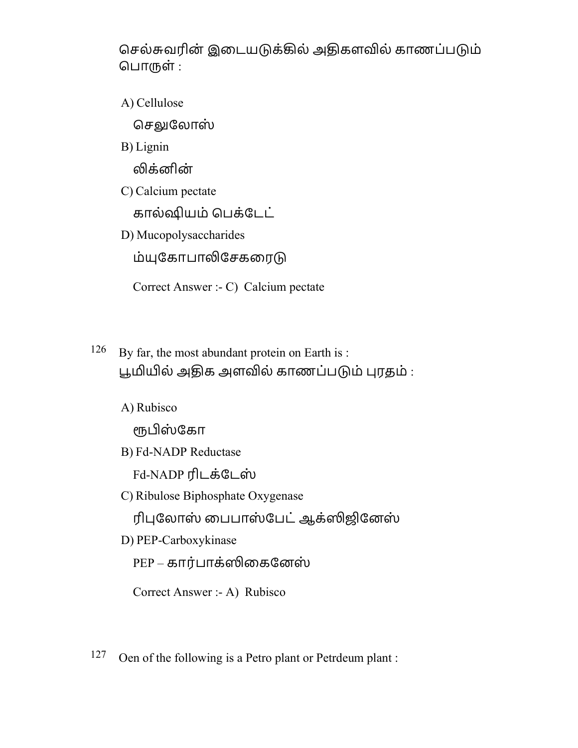செல்சுவரின் இடையடுக்கில் அதிகளவில் காணப்படும் ெபாள் :

A) Cellulose

செலுலோஸ்

B) Lignin

லிக்னின்

C) Calcium pectate

கால்௹யம் ெபக்ேடட்

D) Mucopolysaccharides

ம்யுகோபாலிசேகரைடு

Correct Answer :- C) Calcium pectate

126 By far, the most abundant protein on Earth is : பூமியில் அதிக அளவில் காணப்படும் புரதம் :

A) Rubisco

ரூபிஸ்கோ

B) Fd-NADP Reductase

Fd-NADP ரிடக்டேஸ்

C) Ribulose Biphosphate Oxygenase

ரிபுலோஸ் பைபாஸ்பேட் ஆக்ஸிஜினேஸ்

D) PEP-Carboxykinase

 $PEP - \pi r$ ர்பாக்ஸிகைனேஸ்

Correct Answer :- A) Rubisco

 $127$  Oen of the following is a Petro plant or Petrdeum plant :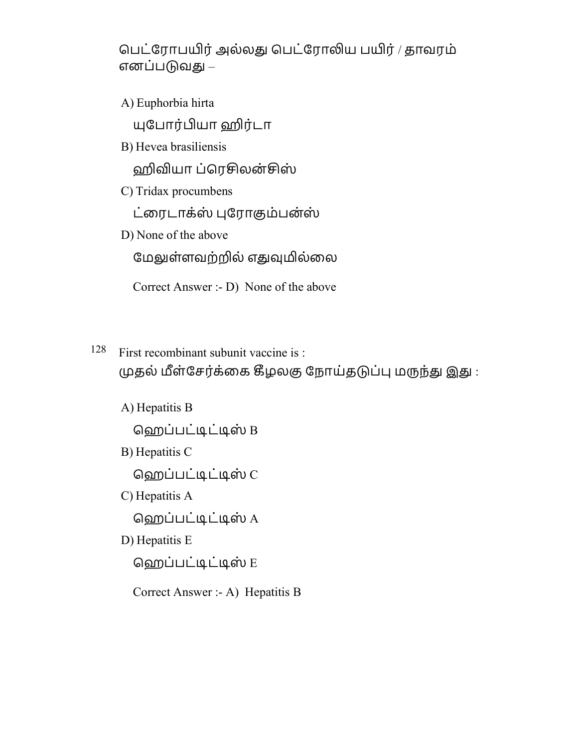பெட்ரோபயிர் அல்லது பெட்ரோலிய பயிர் / தாவரம் எனப்படுவது –

A) Euphorbia hirta

யுபோர்பியா ஹிர்டா

B) Hevea brasiliensis

ஹிவியா ப்ரெசிலன்சிஸ்

C) Tridax procumbens

ட்ரைடாக்ஸ் புரோகும்பன்ஸ்

D) None of the above

மேலுள்ளவற்றில் எதுவுமில்லை

Correct Answer :- D) None of the above

128 First recombinant subunit vaccine is : முதல் மீள்சேர்க்கை கீழலகு நோய்தடுப்பு மருந்து இது:

A) Hepatitis B ெஹப்பட்ூட்ூஸ் B B) Hepatitis C

ெஹப்பட்ூட்ூஸ் C

C) Hepatitis A

ெஹப்பட்ூட்ூஸ் A

D) Hepatitis E

ெஹப்பட்ூட்ூஸ் E

Correct Answer :- A) Hepatitis B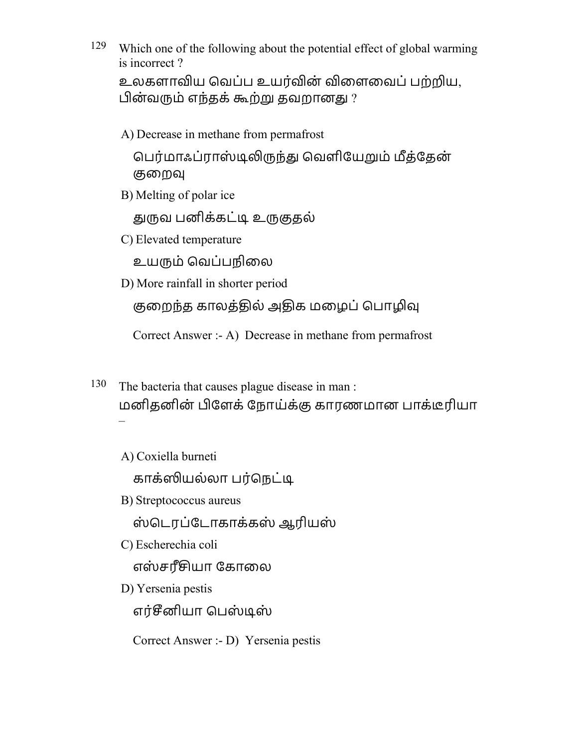<sup>129</sup> Which one of the following about the potential effect of global warming is incorrect ?

உலகளாவிய வெப்ப உயர்வின் விளைவைப் பற்றிய, பின்வரும் எந்தக் கூற்று தவறானது ?

A) Decrease in methane from permafrost

பெர்மாஃப்ராஸ்டிலிருந்து வெளியேறும் மீத்தேன் குறைவு

B) Melting of polar ice

துருவ பனிக்கட்டி உருகுதல்

C) Elevated temperature

உயம் ெவப்பநிைல

D) More rainfall in shorter period

குறைந்த காலத்தில் அதிக மழைப் பொழிவு

Correct Answer :- A) Decrease in methane from permafrost

- 130 The bacteria that causes plague disease in man : மனிதனின் ேளக்ேநாய்க்ஶ காரணமான பாக்ரியா –
	- A) Coxiella burneti

காக்ஸியல்லா பர்நெட்டி

B) Streptococcus aureus

ஸ் ெடரப்ேடாகாக்கஸ் ஆரியஸ்

C) Escherechia coli

எஸ்சரீசியா கோலை

D) Yersenia pestis

எர்சீனியா பெஸ்டிஸ்

Correct Answer :- D) Yersenia pestis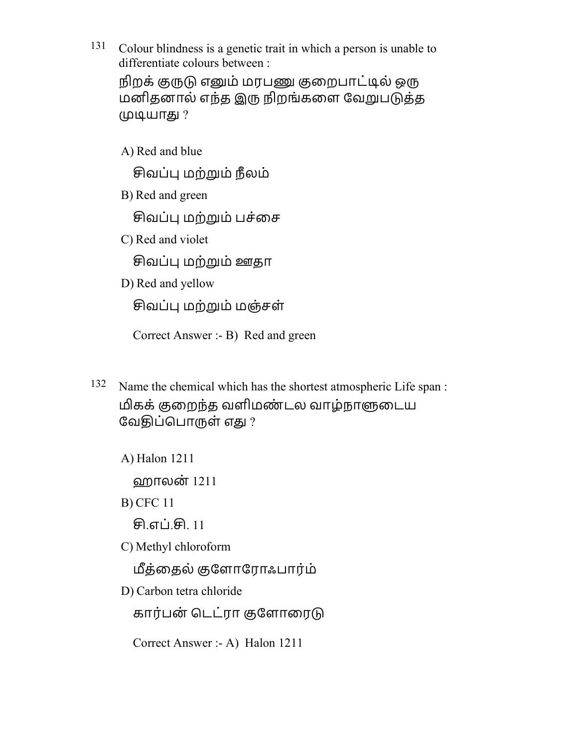- 131 Colour blindness is a genetic trait in which a person is unable to differentiate colours between : நிறக் குருடு எனும் மரபணு குறைபாட்டில் ஒரு மனிதனால் எந்த இரு நிறங்களை வேறுபடுத்த முடியாது ?
	- A) Red and blue

சிவப்பு மற்றும் நீலம்

B) Red and green

சிவப்பு மற்றும் பச்சை

C) Red and violet

சிவப்பு மற்றும் ஊதா

D) Red and yellow

சிவப்பு மற்றும் மஞ்சள்

Correct Answer :- B) Red and green

- 132 Name the chemical which has the shortest atmospheric Life span : மிகக் குறைந்த வளிமண்டல வாழ்நாளுடைய வேதிப்பொருள் எது ?
	- A) Halon 1211

ஹாலன் 1211

B) CFC 11

<u>சி.எப்.சி. 11</u>

C) Methyl chloroform

த்ைதல் ஶேளாேராஃபாரம் ்

D) Carbon tetra chloride

கார்பன் டெட்ரா குளோரைடு

Correct Answer :- A) Halon 1211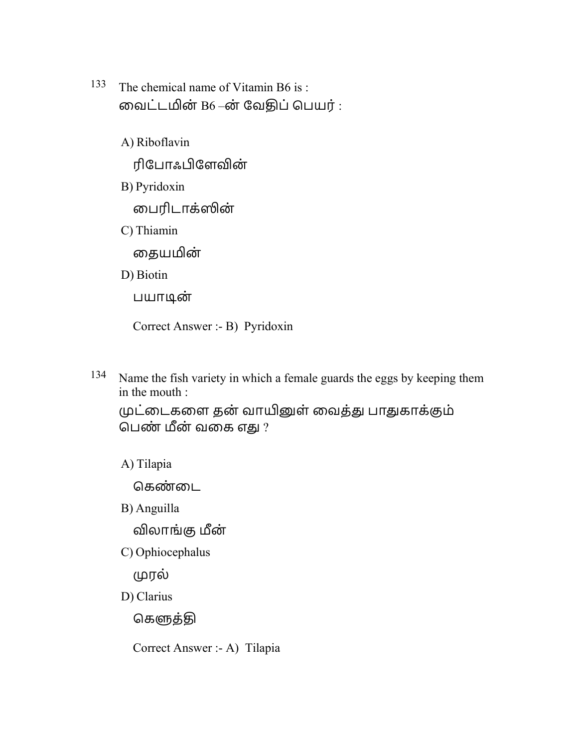- 133 The chemical name of Vitamin B6 is : வைட்டமின்  $B6 -$ ன் வேதிப் பெயர் :
	- A) Riboflavin ரிபோஃபிளேவின் B) Pyridoxin ைபரிடாக்ன்
	- C) Thiamin

தையமின்

D) Biotin

பயாூன்

Correct Answer :- B) Pyridoxin

<sup>134</sup> Name the fish variety in which a female guards the eggs by keeping them in the mouth :

முட்டைகளை தன் வாயினுள் வைத்து பாதுகாக்கும் பெண் மீன் வகை எது ?

A) Tilapia

கெண்டை

B) Anguilla

விலாங்கு மீன்

C) Ophiocephalus

ரல்

D) Clarius

கெளுத்தி

Correct Answer :- A) Tilapia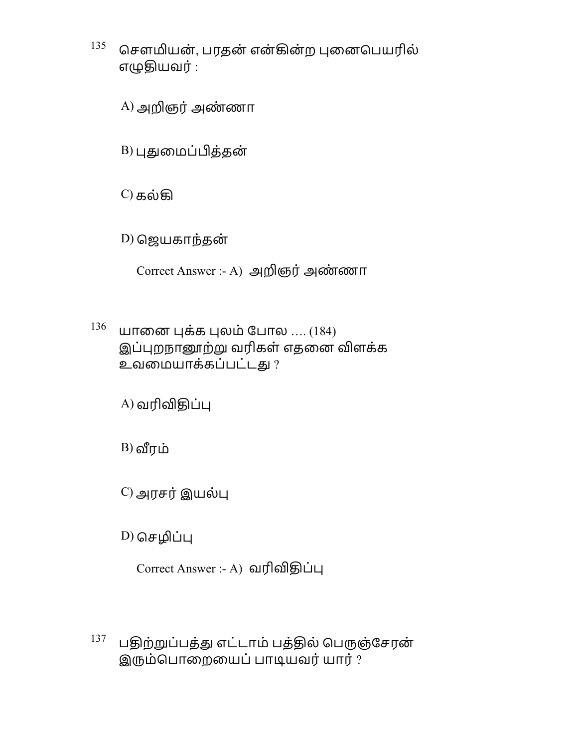$^{135}$  சௌமியன், பரதன் என்கின்ற புனைபெயரில் எழுதியவர் :

A) அறிஞர் அண்ணா

 $B$ ) புதுமைப்பித்தன்

C) கல்ழ

 $D$ ) ஜெயகாந்தன்

Correct Answer :- A) அறிஞர் அண்ணா

 $136$ யானை புக்க புலம் போல .... (184) இப்புறநானூற்று வரிகள் எதனை விளக்க உவமையாக்கப்பட்டது ?

 $A$ ) வரிவிதிப்பு

 $B$ ) வீரம்

 $C$ ) அரசர் இயல்பு

 $D)$  செழிப்பு

 $Correct$  Answer :- A) வரிவிதிப்பு

 $^{137}$ பதிற்றுப்பத்து எட்டாம் பத்தில் பெருஞ்சேரன் இரும்பொறையைப் பாடியவர் யார் ?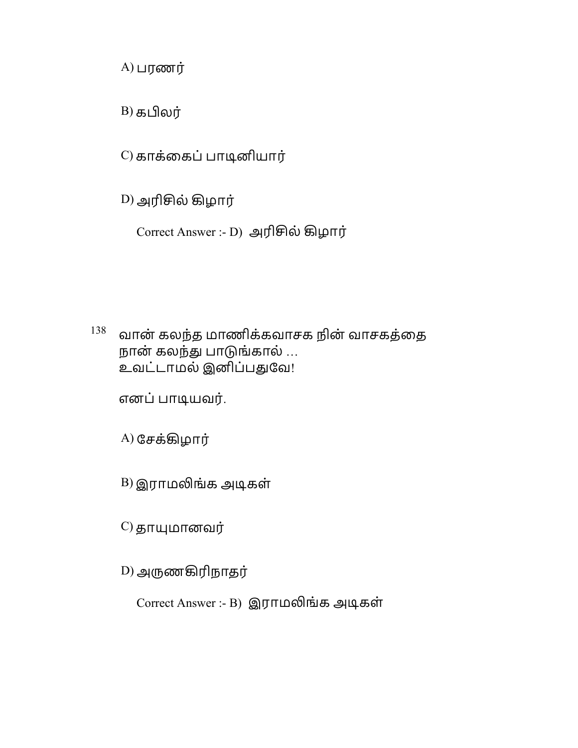$A)$  பரணர்

B) கலர்

C) காக்கைப் பாடினியார்

D) அரில் ழழார்

Correct Answer :- D) அரில் ழழார்

 $^{138}$  வான் கலந்த மாணிக்கவாசக நின் வாசகத்தை நான் கலந்து பாடுங்கால் … உவட்டாமல் இனிப்பதுவே!

எனப்பாூயவர்.

A) ேசக்ழழார்

 $B$ ) இராமலிங்க அடிகள்

 $\mathbf{C}$ ) தாயுமானவர்

 $D$ ) அருணகிரிநாதர்

Correct Answer :- B) இராமலிங்க அடிகள்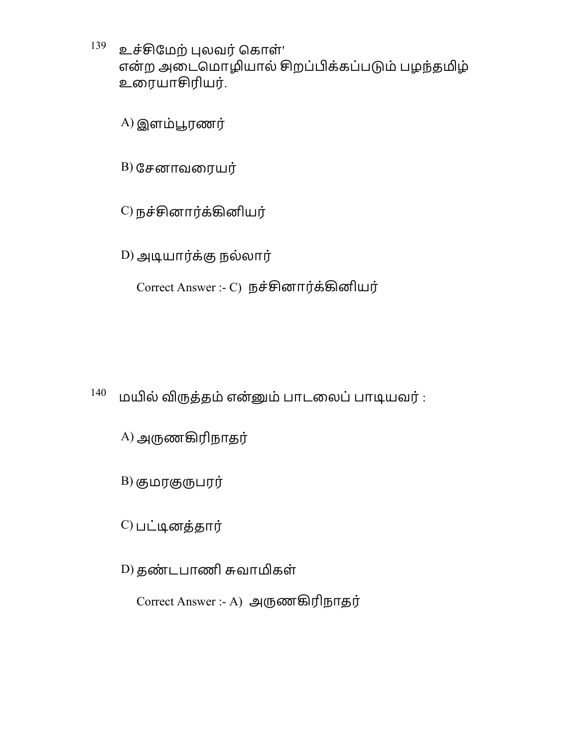$^{139}$  உச்சிமேற் புலவர் கொள்' என்ற அடைமொழியால் சிறப்பிக்கப்படும் பழந்தமிழ் உைரயாரியர்.

 $(A)$  இளம்பூரணர்

 $B)$  சேனாவரையர்

 $C$ ) நச்சினார்க்கினியர்

 $D$ ) அடியார்க்கு நல்லார்

Correct Answer :- C) நச்சினார்க்கினியர்

 $140$  மயில் விருத்தம் என்னும் பாடலைப் பாடியவர் :

A) அணழரிநாதர்

 $B)$  குமரகுருபரர்

 $C$ ) பட்டினத்தார்

D) தண்டபாணி சுவாமிகள்

Correct Answer :- A) அணழரிநாதர்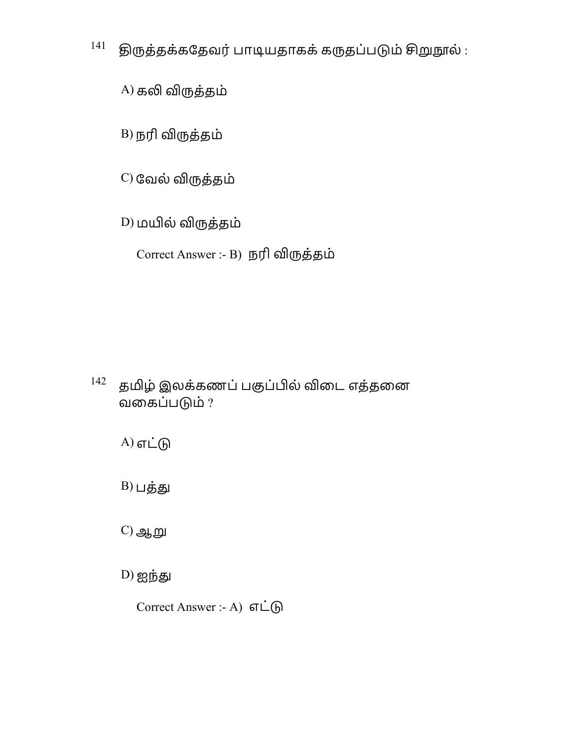$141$  இருத்தக்கதேவர் பாடியதாகக் கருதப்படும் சிறுநூல் :

A) கலி விருத்தம்

 $B$ ) நரி விருத்தம்

 $C$ ) வேல் விருத்தம்

D) மயில் விருத்தம்

Correct Answer :- B) நரி விருத்தம்

 $142$ தமிழ் இலக்கணப் பகுப்பில் விடை எத்தனை வைகப்பம் ?

 $A)$  எட்டு

 $B)$ பத்து

 $C$ ) ஆறு

 $D)$  ஐந்து

Correct Answer :- A) எட்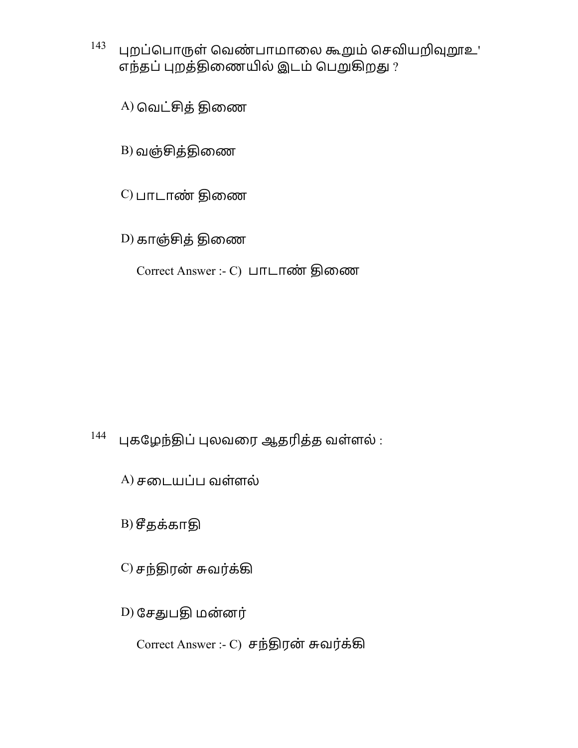$^{143}$  புறப்பொருள் வெண்பாமாலை கூறும் செவியறிவுறூஉ' எந்தப் புறத்திணையில் இடம் பெறுகிறது ?

A) வெட்சித் திணை

 $B$ ) வஞ்சித்திணை

 $(C)$  பாடாண் திணை

 $(D)$  காஞ்சித் திணை

Correct Answer :- C) பாடாண் திணை

## $144$  புகழேந்திப் புலவரை ஆதரித்த வள்ளல் :

 $(A)$ சடையப்ப வள்ளல்

 $B)$  சீதக்காதி

 $(C)$  சந்திரன் சுவர்க்கி

D) சேதுபதி மன்னர்

 $Correct$  Answer :-  $C$ ) சந்திரன் சுவர்க்கி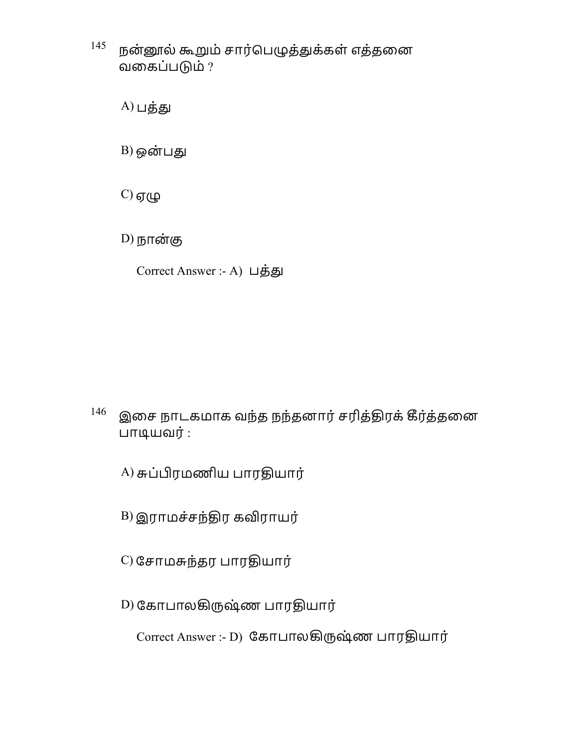$^{145}$  நன்னூல் கூறும் சார்பெழுத்துக்கள் எத்தனை வைகப்பம் ?

 $A)$ பத்து

 $B)$  ஒன்பது

 $C$ ) ஏழு

 $D)$  நான்கு

Correct Answer :- A) பத்து

 $^{146}$  இசை நாடகமாக வந்த நந்தனார் சரித்திரக் கீர்த்தனை பாூயவர் :

A) சுப்பிரமணிய பாரதியார்

 $B$ ) இராமச்சந்திர கவிராயர்

 $(C)$  சோமசுந்தர பாரதியார்

D) கோபாலகிருஷ்ண பாரதியார்

Correct Answer :- D) கோபாலகிருஷ்ண பாரதியார்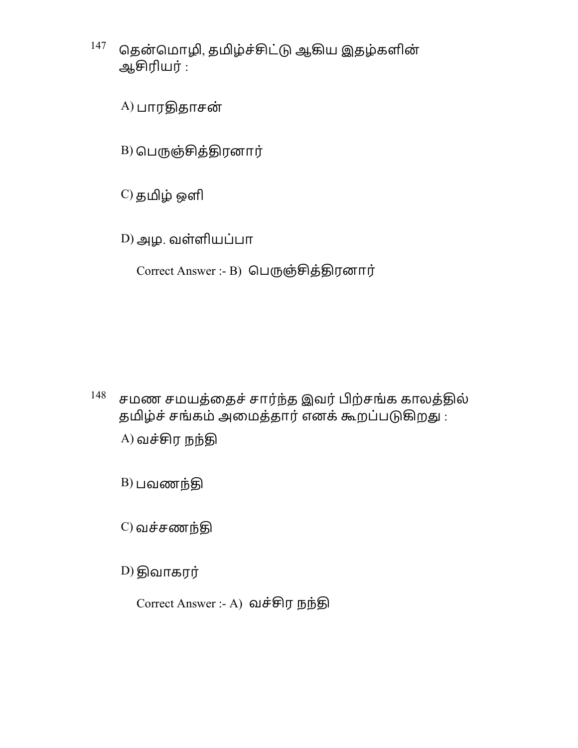- $^{147}$  தென்மொழி, தமிழ்ச்சிட்டு ஆகிய இதழ்களின் ஆரியர் :
	- $A)$ பாரதிதாசன்
	- $B$ ) பெருஞ்சித்திரனார்
	- C) தழ் ஒளி
	- D) அழ. வள்ளியப்பா
		- Correct Answer :- B) பெருஞ்சித்திரனார்

- $148$ சமண சமயத்தைச் சார்ந்த இவர் பிற்சங்க காலத்தில் தமிழ்ச் சங்கம் அமைத்தார் எனக் கூறப்படுகிறது :  $(A)$ வச்சிர நந்தி
	- $B)$  பவணந்தி
	- $C$ ) வச்சணந்தி
	- $D)$  திவாகரர்

Correct Answer :- A) வச்சிர நந்தி